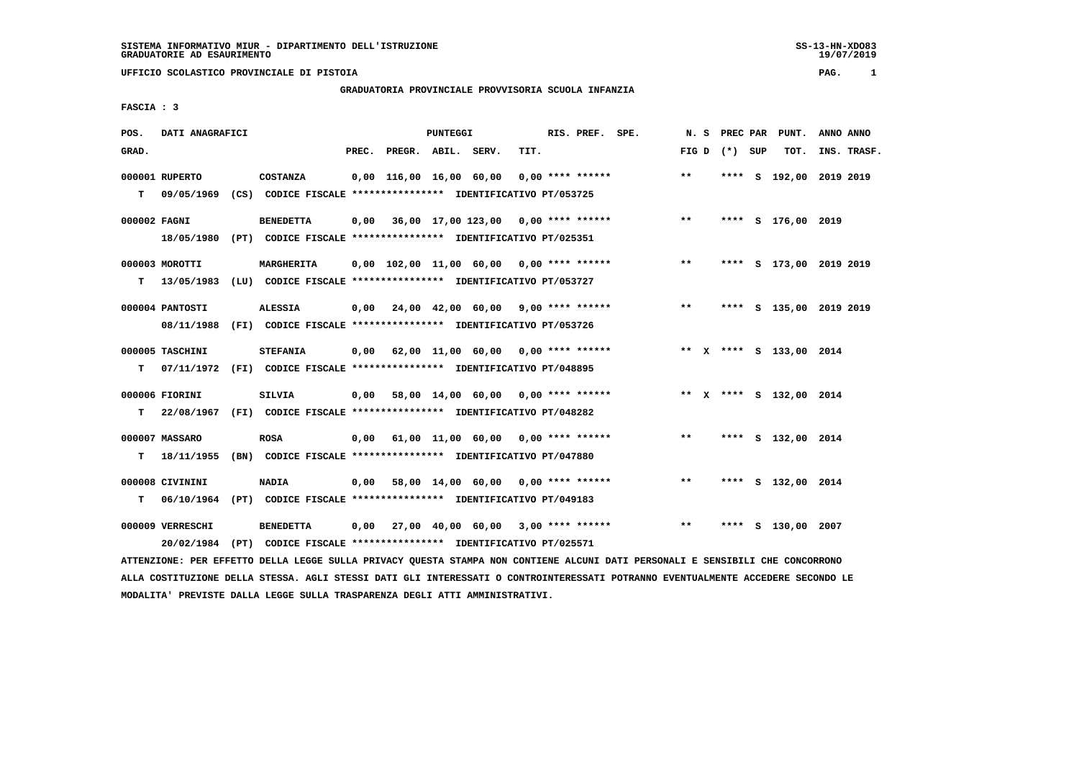# **GRADUATORIA PROVINCIALE PROVVISORIA SCUOLA INFANZIA**

 **FASCIA : 3**

| POS.         | DATI ANAGRAFICI  |                                                                         |                          | PUNTEGGI |                                                   |      | RIS. PREF. SPE. | N.S   |                   | PREC PAR PUNT.          | ANNO ANNO |             |
|--------------|------------------|-------------------------------------------------------------------------|--------------------------|----------|---------------------------------------------------|------|-----------------|-------|-------------------|-------------------------|-----------|-------------|
| GRAD.        |                  |                                                                         | PREC. PREGR. ABIL. SERV. |          |                                                   | TIT. |                 |       | FIG $D$ $(*)$ SUP | TOT.                    |           | INS. TRASF. |
|              | 000001 RUPERTO   | <b>COSTANZA</b>                                                         |                          |          | 0,00 116,00 16,00 60,00 0,00 **** ******          |      |                 | $***$ |                   | **** S 192,00 2019 2019 |           |             |
| т            |                  | 09/05/1969 (CS) CODICE FISCALE *************** IDENTIFICATIVO PT/053725 |                          |          |                                                   |      |                 |       |                   |                         |           |             |
| 000002 FAGNI |                  | <b>BENEDETTA</b>                                                        |                          |          | $0,00$ 36,00 17,00 123,00 0,00 **** ******        |      |                 | $***$ |                   | **** S 176,00 2019      |           |             |
|              |                  | 18/05/1980 (PT) CODICE FISCALE *************** IDENTIFICATIVO PT/025351 |                          |          |                                                   |      |                 |       |                   |                         |           |             |
|              | 000003 MOROTTI   | <b>MARGHERITA</b>                                                       |                          |          | 0,00 102,00 11,00 60,00 0,00 **** ******          |      |                 | $**$  |                   | **** S 173,00 2019 2019 |           |             |
|              | $T = 13/05/1983$ | (LU) CODICE FISCALE **************** IDENTIFICATIVO PT/053727           |                          |          |                                                   |      |                 |       |                   |                         |           |             |
|              | 000004 PANTOSTI  | <b>ALESSIA</b>                                                          |                          |          | $0,00$ $24,00$ $42,00$ $60,00$ $9,00$ **** ****** |      |                 | $***$ |                   | **** S 135,00 2019 2019 |           |             |
|              | 08/11/1988       | (FI) CODICE FISCALE **************** IDENTIFICATIVO PT/053726           |                          |          |                                                   |      |                 |       |                   |                         |           |             |
|              | 000005 TASCHINI  | <b>STEFANIA</b>                                                         |                          |          | $0,00$ 62,00 11,00 60,00 0,00 **** ******         |      |                 |       |                   | ** X **** S 133,00 2014 |           |             |
| т            | 07/11/1972       | (FI) CODICE FISCALE **************** IDENTIFICATIVO PT/048895           |                          |          |                                                   |      |                 |       |                   |                         |           |             |
|              | 000006 FIORINI   | SILVIA                                                                  |                          |          | $0,00$ 58,00 14,00 60,00 0,00 **** ******         |      |                 |       |                   | ** X **** S 132,00 2014 |           |             |
| т            |                  | 22/08/1967 (FI) CODICE FISCALE *************** IDENTIFICATIVO PT/048282 |                          |          |                                                   |      |                 |       |                   |                         |           |             |
|              | 000007 MASSARO   | <b>ROSA</b>                                                             |                          |          | $0,00$ $61,00$ $11,00$ $60,00$ $0,00$ **** ****** |      |                 | $***$ |                   | **** S 132,00 2014      |           |             |
| т            | 18/11/1955       | (BN) CODICE FISCALE **************** IDENTIFICATIVO PT/047880           |                          |          |                                                   |      |                 |       |                   |                         |           |             |
|              | 000008 CIVININI  | <b>NADIA</b>                                                            |                          |          | 0,00 58,00 14,00 60,00 0,00 **** ******           |      |                 | **    |                   | **** S 132,00 2014      |           |             |
| т            | 06/10/1964       | (PT) CODICE FISCALE **************** IDENTIFICATIVO PT/049183           |                          |          |                                                   |      |                 |       |                   |                         |           |             |
|              | 000009 VERRESCHI | <b>BENEDETTA</b>                                                        |                          |          | $0,00$ 27,00 40,00 60,00 3,00 **** ******         |      |                 | $**$  |                   | **** S 130,00 2007      |           |             |
|              |                  | 20/02/1984 (PT) CODICE FISCALE *************** IDENTIFICATIVO PT/025571 |                          |          |                                                   |      |                 |       |                   |                         |           |             |
|              |                  |                                                                         |                          |          |                                                   |      |                 |       |                   |                         |           |             |

 **ATTENZIONE: PER EFFETTO DELLA LEGGE SULLA PRIVACY QUESTA STAMPA NON CONTIENE ALCUNI DATI PERSONALI E SENSIBILI CHE CONCORRONO ALLA COSTITUZIONE DELLA STESSA. AGLI STESSI DATI GLI INTERESSATI O CONTROINTERESSATI POTRANNO EVENTUALMENTE ACCEDERE SECONDO LE MODALITA' PREVISTE DALLA LEGGE SULLA TRASPARENZA DEGLI ATTI AMMINISTRATIVI.**

SS-13-HN-XDO83<br>19/07/2019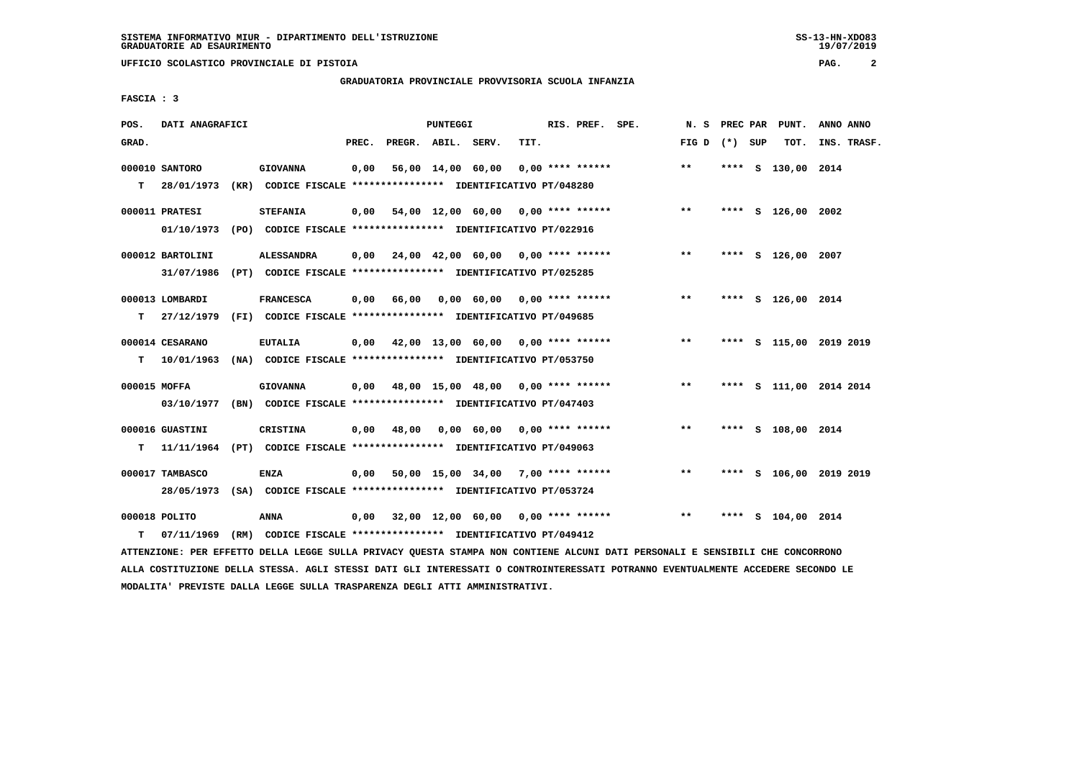### **GRADUATORIA PROVINCIALE PROVVISORIA SCUOLA INFANZIA**

 $19/07/2019$ 

 **FASCIA : 3**

| POS.         | DATI ANAGRAFICI  |                                                                          |       |                    | PUNTEGGI          |                                                         |      | RIS. PREF. SPE.    | N.S               |      | PREC PAR PUNT.          | ANNO ANNO |             |
|--------------|------------------|--------------------------------------------------------------------------|-------|--------------------|-------------------|---------------------------------------------------------|------|--------------------|-------------------|------|-------------------------|-----------|-------------|
| GRAD.        |                  |                                                                          | PREC. | PREGR. ABIL. SERV. |                   |                                                         | TIT. |                    | FIG $D$ $(*)$ SUP |      | TOT.                    |           | INS. TRASF. |
|              | 000010 SANTORO   | <b>GIOVANNA</b>                                                          | 0,00  |                    | 56,00 14,00 60,00 |                                                         |      | $0.00$ **** ****** | $***$             |      | **** S 130,00 2014      |           |             |
| т            | 28/01/1973       | (KR) CODICE FISCALE **************** IDENTIFICATIVO PT/048280            |       |                    |                   |                                                         |      |                    |                   |      |                         |           |             |
|              | 000011 PRATESI   | <b>STEFANIA</b>                                                          | 0,00  |                    |                   | 54,00 12,00 60,00 0,00 **** ******                      |      |                    | $***$             |      | **** S 126,00 2002      |           |             |
|              | 01/10/1973       | (PO) CODICE FISCALE **************** IDENTIFICATIVO PT/022916            |       |                    |                   |                                                         |      |                    |                   |      |                         |           |             |
|              | 000012 BARTOLINI | <b>ALESSANDRA</b>                                                        |       |                    |                   | $0.00$ $24.00$ $42.00$ $60.00$ $0.00$ $***$ **** ****** |      |                    | $**$              |      | **** S 126,00 2007      |           |             |
|              | 31/07/1986       | (PT) CODICE FISCALE **************** IDENTIFICATIVO PT/025285            |       |                    |                   |                                                         |      |                    |                   |      |                         |           |             |
|              | 000013 LOMBARDI  | <b>FRANCESCA</b>                                                         | 0.00  | 66,00              |                   | 0,00 60,00 0,00 **** ******                             |      |                    | $**$              |      | **** S 126,00 2014      |           |             |
| т            | 27/12/1979       | (FI) CODICE FISCALE *************** IDENTIFICATIVO PT/049685             |       |                    |                   |                                                         |      |                    |                   |      |                         |           |             |
|              | 000014 CESARANO  | <b>EUTALIA</b>                                                           |       |                    |                   | $0,00$ $42,00$ $13,00$ $60,00$ $0,00$ $***$ **** ****** |      |                    | $***$             |      | **** S 115,00 2019 2019 |           |             |
| т            | 10/01/1963       | (NA) CODICE FISCALE **************** IDENTIFICATIVO PT/053750            |       |                    |                   |                                                         |      |                    |                   |      |                         |           |             |
| 000015 MOFFA |                  | <b>GIOVANNA</b>                                                          | 0,00  |                    |                   | 48,00 15,00 48,00 0,00 **** ******                      |      |                    | $***$             |      | **** S 111,00 2014 2014 |           |             |
|              | 03/10/1977       | (BN) CODICE FISCALE **************** IDENTIFICATIVO PT/047403            |       |                    |                   |                                                         |      |                    |                   |      |                         |           |             |
|              | 000016 GUASTINI  | CRISTINA                                                                 | 0.00  | 48,00              |                   | $0.00 \t 60.00 \t 0.00$ **** ******                     |      |                    | $***$             |      | **** S 108,00 2014      |           |             |
| т            |                  | 11/11/1964 (PT) CODICE FISCALE **************** IDENTIFICATIVO PT/049063 |       |                    |                   |                                                         |      |                    |                   |      |                         |           |             |
|              | 000017 TAMBASCO  | <b>ENZA</b>                                                              | 0.00  |                    |                   | 50,00 15,00 34,00 7,00 **** ******                      |      |                    | $**$              | **** | S 106,00 2019 2019      |           |             |
|              |                  | 28/05/1973 (SA) CODICE FISCALE *************** IDENTIFICATIVO PT/053724  |       |                    |                   |                                                         |      |                    |                   |      |                         |           |             |
|              | 000018 POLITO    | ANNA                                                                     |       |                    |                   | $0,00$ $32,00$ $12,00$ $60,00$ $0.00$ $***$ **** ****** |      |                    | $***$             | **** | S 104,00 2014           |           |             |
| т            |                  | 07/11/1969 (RM) CODICE FISCALE *************** IDENTIFICATIVO PT/049412  |       |                    |                   |                                                         |      |                    |                   |      |                         |           |             |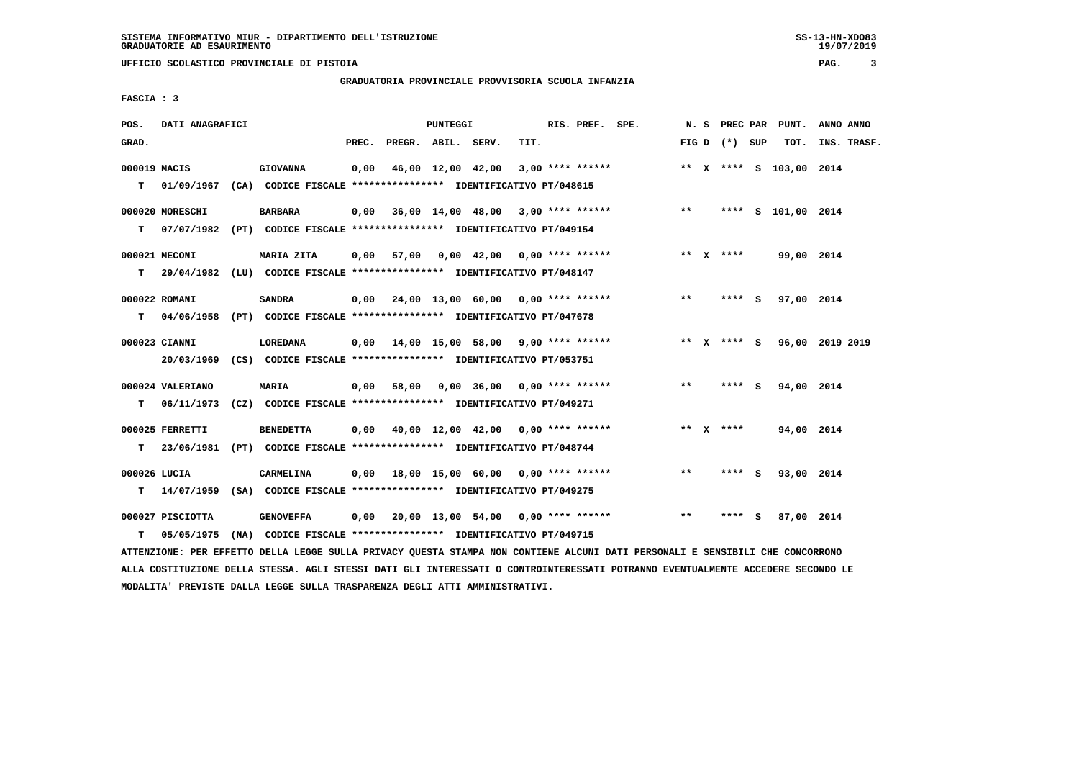### **GRADUATORIA PROVINCIALE PROVVISORIA SCUOLA INFANZIA**

 **FASCIA : 3**

| POS.              | DATI ANAGRAFICI  |                                                                                      |       |                    | PUNTEGGI |                                                         |      | RIS. PREF. SPE.    |       |                 | N. S PREC PAR PUNT.     | ANNO ANNO |                  |
|-------------------|------------------|--------------------------------------------------------------------------------------|-------|--------------------|----------|---------------------------------------------------------|------|--------------------|-------|-----------------|-------------------------|-----------|------------------|
| GRAD.             |                  |                                                                                      | PREC. | PREGR. ABIL. SERV. |          |                                                         | TIT. |                    |       | FIG D $(*)$ SUP |                         |           | TOT. INS. TRASF. |
| 000019 MACIS      |                  | <b>GIOVANNA</b>                                                                      | 0,00  |                    |          | 46,00 12,00 42,00                                       |      | $3,00$ **** ****** |       |                 | ** X **** S 103,00 2014 |           |                  |
| т                 | 01/09/1967       | (CA) CODICE FISCALE **************** IDENTIFICATIVO PT/048615                        |       |                    |          |                                                         |      |                    |       |                 |                         |           |                  |
|                   | 000020 MORESCHI  | <b>BARBARA</b>                                                                       |       |                    |          | 0,00 36,00 14,00 48,00 3,00 **** ******                 |      |                    | $***$ |                 | **** S 101,00 2014      |           |                  |
| T.                |                  | 07/07/1982 (PT) CODICE FISCALE *************** IDENTIFICATIVO PT/049154              |       |                    |          |                                                         |      |                    |       |                 |                         |           |                  |
|                   | 000021 MECONI    | MARIA ZITA                                                                           |       | $0.00$ 57.00       |          | $0.00 \quad 42.00 \quad 0.00 \quad *** \quad ***$       |      |                    |       | ** x ****       | 99,00 2014              |           |                  |
|                   |                  | T 29/04/1982 (LU) CODICE FISCALE *************** IDENTIFICATIVO PT/048147            |       |                    |          |                                                         |      |                    |       |                 |                         |           |                  |
|                   | 000022 ROMANI    | <b>SANDRA</b>                                                                        |       |                    |          | $0,00$ $24,00$ $13,00$ $60,00$ $0,00$ $***$ **** ****** |      |                    | $***$ | $***$ S         | 97,00 2014              |           |                  |
| т                 |                  | 04/06/1958 (PT) CODICE FISCALE **************** IDENTIFICATIVO PT/047678             |       |                    |          |                                                         |      |                    |       |                 |                         |           |                  |
|                   | 000023 CIANNI    | LOREDANA                                                                             |       |                    |          | $0.00$ 14.00 15.00 58.00 9.00 **** ******               |      |                    |       | ** x **** S     | 96,00 2019 2019         |           |                  |
|                   |                  | 20/03/1969 (CS) CODICE FISCALE *************** IDENTIFICATIVO PT/053751              |       |                    |          |                                                         |      |                    |       |                 |                         |           |                  |
|                   | 000024 VALERIANO | MARIA                                                                                |       | $0,00$ 58,00       |          | $0.00$ 36.00 0.00 **** ******                           |      |                    | $***$ | **** S          | 94,00 2014              |           |                  |
| т                 | 06/11/1973       | (CZ) CODICE FISCALE **************** IDENTIFICATIVO PT/049271                        |       |                    |          |                                                         |      |                    |       |                 |                         |           |                  |
|                   | 000025 FERRETTI  | <b>BENEDETTA</b>                                                                     | 0,00  |                    |          | 40,00 12,00 42,00 0,00 **** ******                      |      |                    |       | ** $X$ ****     | 94,00 2014              |           |                  |
| т                 | 23/06/1981       | (PT) CODICE FISCALE **************** IDENTIFICATIVO PT/048744                        |       |                    |          |                                                         |      |                    |       |                 |                         |           |                  |
|                   |                  |                                                                                      |       |                    |          |                                                         |      |                    |       |                 |                         |           |                  |
| 000026 LUCIA<br>т |                  | CARMELINA<br>14/07/1959 (SA) CODICE FISCALE *************** IDENTIFICATIVO PT/049275 |       |                    |          | $0.00$ 18.00 15.00 60.00 0.00 **** ******               |      |                    | $***$ | **** S          | 93,00 2014              |           |                  |
|                   |                  |                                                                                      |       |                    |          |                                                         |      |                    |       |                 |                         |           |                  |
|                   | 000027 PISCIOTTA | <b>GENOVEFFA</b>                                                                     |       |                    |          | $0,00$ 20,00 13,00 54,00 0,00 **** ******               |      |                    | $**$  | **** S          | 87,00 2014              |           |                  |
| т                 | 05/05/1975       | (NA) CODICE FISCALE *************** IDENTIFICATIVO PT/049715                         |       |                    |          |                                                         |      |                    |       |                 |                         |           |                  |

 **ATTENZIONE: PER EFFETTO DELLA LEGGE SULLA PRIVACY QUESTA STAMPA NON CONTIENE ALCUNI DATI PERSONALI E SENSIBILI CHE CONCORRONO ALLA COSTITUZIONE DELLA STESSA. AGLI STESSI DATI GLI INTERESSATI O CONTROINTERESSATI POTRANNO EVENTUALMENTE ACCEDERE SECONDO LE MODALITA' PREVISTE DALLA LEGGE SULLA TRASPARENZA DEGLI ATTI AMMINISTRATIVI.**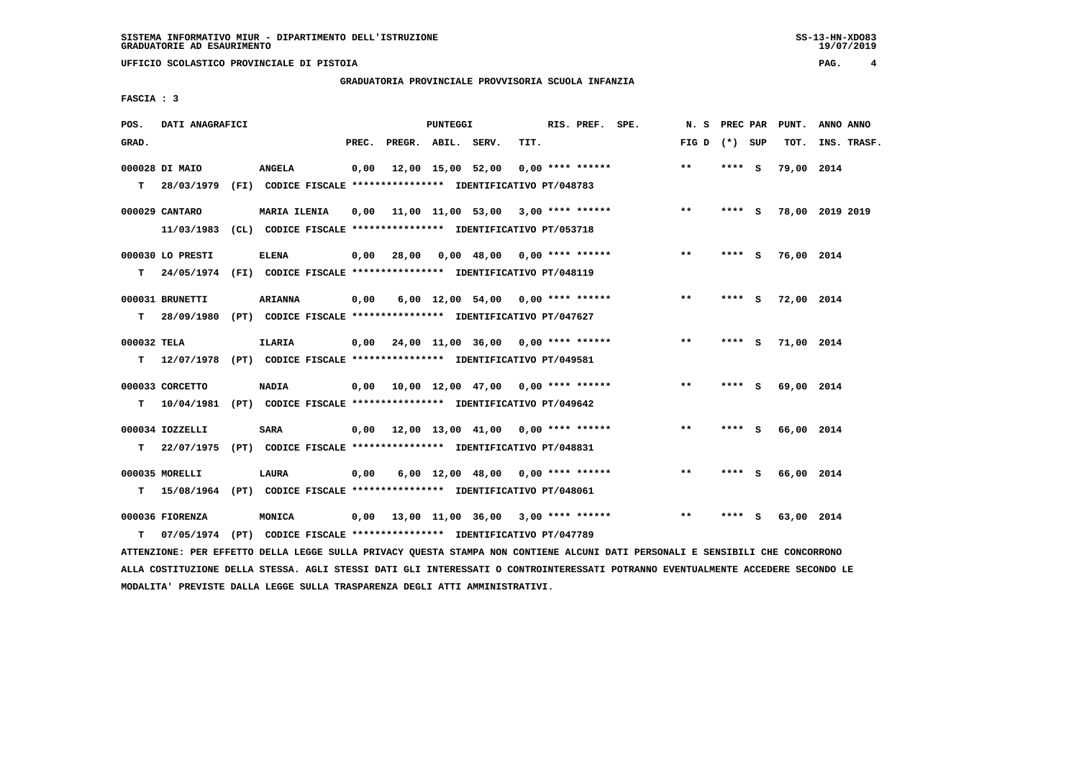### **GRADUATORIA PROVINCIALE PROVVISORIA SCUOLA INFANZIA**

 $19/07/2019$ 

| <b>FASCIA:</b> | 3 |
|----------------|---|
|                |   |

| POS.        | DATI ANAGRAFICI  |                                                                          |       |                    | PUNTEGGI |                                                         |      | RIS. PREF. SPE.    | N. S            | PREC PAR |     | PUNT.           | ANNO ANNO |             |
|-------------|------------------|--------------------------------------------------------------------------|-------|--------------------|----------|---------------------------------------------------------|------|--------------------|-----------------|----------|-----|-----------------|-----------|-------------|
| GRAD.       |                  |                                                                          | PREC. | PREGR. ABIL. SERV. |          |                                                         | TIT. |                    | FIG D $(*)$ SUP |          |     | TOT.            |           | INS. TRASF. |
|             | 000028 DI MAIO   | <b>ANGELA</b>                                                            | 0,00  |                    |          | 12,00 15,00 52,00                                       |      | $0,00$ **** ****** | $***$           | **** S   |     | 79,00 2014      |           |             |
| T.          |                  | 28/03/1979 (FI) CODICE FISCALE **************** IDENTIFICATIVO PT/048783 |       |                    |          |                                                         |      |                    |                 |          |     |                 |           |             |
|             | 000029 CANTARO   | <b>MARIA ILENIA</b>                                                      | 0,00  |                    |          | 11,00 11,00 53,00 3,00 **** ******                      |      |                    | $***$           | **** S   |     | 78,00 2019 2019 |           |             |
|             | 11/03/1983       | (CL) CODICE FISCALE **************** IDENTIFICATIVO PT/053718            |       |                    |          |                                                         |      |                    |                 |          |     |                 |           |             |
|             | 000030 LO PRESTI | <b>ELENA</b>                                                             | 0,00  | 28,00              |          | $0,00$ 48,00 0,00 **** ******                           |      |                    | $***$           | **** S   |     | 76,00 2014      |           |             |
| T.          |                  | 24/05/1974 (FI) CODICE FISCALE **************** IDENTIFICATIVO PT/048119 |       |                    |          |                                                         |      |                    |                 |          |     |                 |           |             |
|             | 000031 BRUNETTI  | <b>ARIANNA</b>                                                           | 0,00  |                    |          | 6,00 12,00 54,00 0,00 **** ******                       |      |                    | $***$           | $***$ S  |     | 72,00 2014      |           |             |
| т           | 28/09/1980       | (PT) CODICE FISCALE **************** IDENTIFICATIVO PT/047627            |       |                    |          |                                                         |      |                    |                 |          |     |                 |           |             |
| 000032 TELA |                  | <b>ILARIA</b>                                                            |       |                    |          | $0,00$ $24,00$ $11,00$ $36,00$ $0,00$ $***$ **** ****** |      |                    | $***$           | **** S   |     | 71,00 2014      |           |             |
| т           | 12/07/1978       | (PT) CODICE FISCALE *************** IDENTIFICATIVO PT/049581             |       |                    |          |                                                         |      |                    |                 |          |     |                 |           |             |
|             | 000033 CORCETTO  | <b>NADIA</b>                                                             | 0,00  |                    |          | 10,00 12,00 47,00 0,00 **** ******                      |      |                    | $***$           | **** S   |     | 69,00 2014      |           |             |
| т           | 10/04/1981       | (PT) CODICE FISCALE **************** IDENTIFICATIVO PT/049642            |       |                    |          |                                                         |      |                    |                 |          |     |                 |           |             |
|             | 000034 IOZZELLI  | SARA                                                                     |       |                    |          | $0,00$ 12,00 13,00 41,00 0,00 **** ******               |      |                    | $* *$           | **** S   |     | 66,00 2014      |           |             |
| т           | 22/07/1975       | (PT) CODICE FISCALE **************** IDENTIFICATIVO PT/048831            |       |                    |          |                                                         |      |                    |                 |          |     |                 |           |             |
|             |                  |                                                                          |       |                    |          |                                                         |      |                    |                 |          |     |                 |           |             |
|             | 000035 MORELLI   | LAURA                                                                    | 0,00  |                    |          | $6,00$ 12,00 48,00 0,00 **** ******                     |      |                    | $* *$           | **** S   |     | 66,00 2014      |           |             |
| т           |                  | 15/08/1964 (PT) CODICE FISCALE *************** IDENTIFICATIVO PT/048061  |       |                    |          |                                                         |      |                    |                 |          |     |                 |           |             |
|             | 000036 FIORENZA  | <b>MONICA</b>                                                            |       |                    |          | $0,00$ 13,00 11,00 36,00 3,00 **** ******               |      |                    | **              | ****     | - S | 63,00 2014      |           |             |
| т           |                  | 07/05/1974 (PT) CODICE FISCALE *************** IDENTIFICATIVO PT/047789  |       |                    |          |                                                         |      |                    |                 |          |     |                 |           |             |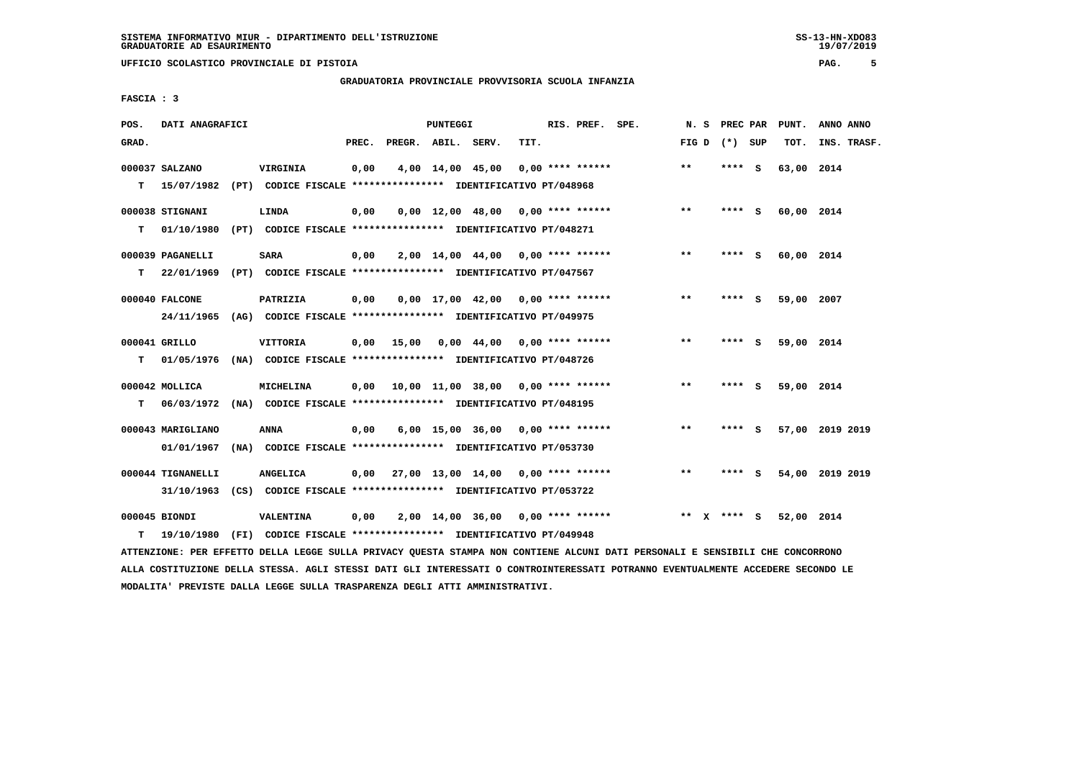### **GRADUATORIA PROVINCIALE PROVVISORIA SCUOLA INFANZIA**

 $19/07/2019$ 

 **FASCIA : 3**

| POS.  | DATI ANAGRAFICI   |                                                                                                                                                                                                |      |                          | PUNTEGGI |                                           |      | RIS. PREF. SPE. |  |                 |        | N. S PREC PAR PUNT. | ANNO ANNO       |  |
|-------|-------------------|------------------------------------------------------------------------------------------------------------------------------------------------------------------------------------------------|------|--------------------------|----------|-------------------------------------------|------|-----------------|--|-----------------|--------|---------------------|-----------------|--|
| GRAD. |                   |                                                                                                                                                                                                |      | PREC. PREGR. ABIL. SERV. |          |                                           | TIT. |                 |  | FIG D $(*)$ SUP |        | TOT.                | INS. TRASF.     |  |
|       | 000037 SALZANO    | <b>VIRGINIA</b>                                                                                                                                                                                | 0,00 |                          |          | 4,00 14,00 45,00 0,00 **** ******         |      |                 |  | $* *$           | **** S | 63,00 2014          |                 |  |
|       | $T = 15/07/1982$  | (PT) CODICE FISCALE **************** IDENTIFICATIVO PT/048968                                                                                                                                  |      |                          |          |                                           |      |                 |  |                 |        |                     |                 |  |
|       |                   |                                                                                                                                                                                                |      |                          |          |                                           |      |                 |  |                 |        |                     |                 |  |
|       | 000038 STIGNANI   | LINDA                                                                                                                                                                                          | 0,00 |                          |          | $0,00$ 12,00 48,00 0,00 **** ******       |      |                 |  | $***$           | **** S | 60,00 2014          |                 |  |
| т     | 01/10/1980        | (PT) CODICE FISCALE **************** IDENTIFICATIVO PT/048271                                                                                                                                  |      |                          |          |                                           |      |                 |  |                 |        |                     |                 |  |
|       | 000039 PAGANELLI  | <b>SARA</b>                                                                                                                                                                                    | 0,00 |                          |          | $2,00$ 14,00 44,00 0,00 **** ******       |      |                 |  | $***$           | **** S | 60,00 2014          |                 |  |
| T.    | 22/01/1969        | (PT) CODICE FISCALE **************** IDENTIFICATIVO PT/047567                                                                                                                                  |      |                          |          |                                           |      |                 |  |                 |        |                     |                 |  |
|       | 000040 FALCONE    | PATRIZIA                                                                                                                                                                                       | 0,00 |                          |          | $0,00$ 17,00 42,00 0,00 **** ******       |      |                 |  | $***$           | **** S | 59,00 2007          |                 |  |
|       |                   | 24/11/1965 (AG) CODICE FISCALE *************** IDENTIFICATIVO PT/049975                                                                                                                        |      |                          |          |                                           |      |                 |  |                 |        |                     |                 |  |
|       |                   |                                                                                                                                                                                                |      |                          |          |                                           |      |                 |  |                 |        |                     |                 |  |
|       | 000041 GRILLO     | <b>VITTORIA</b>                                                                                                                                                                                |      |                          |          | $0,00$ 15,00 0,00 44,00 0,00 **** ******  |      |                 |  | $***$           | **** S | 59,00 2014          |                 |  |
| т     |                   | 01/05/1976 (NA) CODICE FISCALE *************** IDENTIFICATIVO PT/048726                                                                                                                        |      |                          |          |                                           |      |                 |  |                 |        |                     |                 |  |
|       | 000042 MOLLICA    | MICHELINA                                                                                                                                                                                      | 0.00 |                          |          | 10,00 11,00 38,00 0,00 **** ******        |      |                 |  | **              | **** S | 59,00 2014          |                 |  |
| T.    |                   | 06/03/1972 (NA) CODICE FISCALE **************** IDENTIFICATIVO PT/048195                                                                                                                       |      |                          |          |                                           |      |                 |  |                 |        |                     |                 |  |
|       |                   |                                                                                                                                                                                                |      |                          |          |                                           |      |                 |  |                 |        |                     |                 |  |
|       | 000043 MARIGLIANO | ANNA                                                                                                                                                                                           | 0,00 |                          |          | $6,00$ 15,00 36,00 0,00 **** ******       |      |                 |  | $***$           | **** S |                     | 57,00 2019 2019 |  |
|       | 01/01/1967        | (NA) CODICE FISCALE **************** IDENTIFICATIVO PT/053730                                                                                                                                  |      |                          |          |                                           |      |                 |  |                 |        |                     |                 |  |
|       | 000044 TIGNANELLI | <b>ANGELICA</b>                                                                                                                                                                                |      |                          |          | $0,00$ 27,00 13,00 14,00 0,00 **** ****** |      |                 |  | $***$           | **** S |                     | 54,00 2019 2019 |  |
|       |                   | 31/10/1963 (CS) CODICE FISCALE *************** IDENTIFICATIVO PT/053722                                                                                                                        |      |                          |          |                                           |      |                 |  |                 |        |                     |                 |  |
|       | 000045 BIONDI     | VALENTINA                                                                                                                                                                                      |      |                          |          | 2,00 14,00 36,00 0,00 **** ******         |      |                 |  | ** x **** S     |        | 52,00 2014          |                 |  |
|       |                   |                                                                                                                                                                                                | 0,00 |                          |          |                                           |      |                 |  |                 |        |                     |                 |  |
|       |                   |                                                                                                                                                                                                |      |                          |          |                                           |      |                 |  |                 |        |                     |                 |  |
| т     | 19/10/1980        | (FI) CODICE FISCALE **************** IDENTIFICATIVO PT/049948<br>ATTENZIONE: PER EFFETTO DELLA LEGGE SULLA PRIVACY QUESTA STAMPA NON CONTIENE ALCUNI DATI PERSONALI E SENSIBILI CHE CONCORRONO |      |                          |          |                                           |      |                 |  |                 |        |                     |                 |  |

 **ALLA COSTITUZIONE DELLA STESSA. AGLI STESSI DATI GLI INTERESSATI O CONTROINTERESSATI POTRANNO EVENTUALMENTE ACCEDERE SECONDO LE MODALITA' PREVISTE DALLA LEGGE SULLA TRASPARENZA DEGLI ATTI AMMINISTRATIVI.**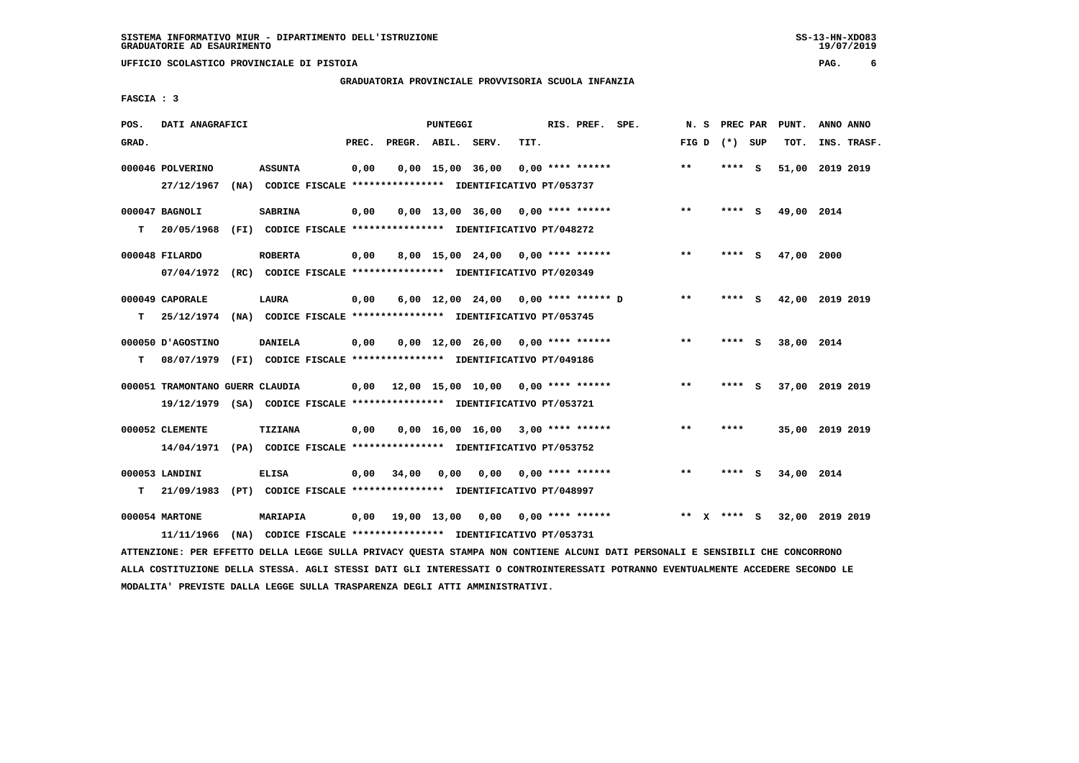**UFFICIO SCOLASTICO PROVINCIALE DI PISTOIA PAG. 6**

#### **GRADUATORIA PROVINCIALE PROVVISORIA SCUOLA INFANZIA**

 **FASCIA : 3**

| POS.  | DATI ANAGRAFICI                                                                                            |                |       |                    | PUNTEGGI |                                                                                                      |      | RIS. PREF. SPE.           |                                     | N.S   |        | PREC PAR | PUNT.           | ANNO ANNO |             |
|-------|------------------------------------------------------------------------------------------------------------|----------------|-------|--------------------|----------|------------------------------------------------------------------------------------------------------|------|---------------------------|-------------------------------------|-------|--------|----------|-----------------|-----------|-------------|
| GRAD. |                                                                                                            |                | PREC. | PREGR. ABIL. SERV. |          |                                                                                                      | TIT. |                           |                                     | FIG D |        | (*) SUP  | TOT.            |           | INS. TRASF. |
|       | 000046 POLVERINO<br>27/12/1967                                                                             | <b>ASSUNTA</b> | 0,00  |                    |          | $0,00$ 15,00 36,00<br>(NA) CODICE FISCALE **************** IDENTIFICATIVO PT/053737                  |      | $0.00$ **** ******        |                                     | $***$ | ****   | - S      | 51,00 2019 2019 |           |             |
| т     | 000047 BAGNOLI<br>20/05/1968                                                                               | <b>SABRINA</b> | 0,00  |                    |          | $0.00$ 13.00 36.00 0.00 **** ******<br>(FI) CODICE FISCALE **************** IDENTIFICATIVO PT/048272 |      |                           |                                     | $**$  | **** S |          | 49,00 2014      |           |             |
|       | 000048 FILARDO<br>07/04/1972 (RC) CODICE FISCALE *************** IDENTIFICATIVO PT/020349                  | <b>ROBERTA</b> | 0,00  |                    |          | 8,00 15,00 24,00 0,00 **** ******                                                                    |      |                           |                                     | $* *$ | ****   | s        | 47,00 2000      |           |             |
| т     | 000049 CAPORALE<br>25/12/1974 (NA) CODICE FISCALE *************** IDENTIFICATIVO PT/053745                 | LAURA          | 0,00  |                    |          |                                                                                                      |      |                           | 6,00 12,00 24,00 0,00 **** ****** D | $* *$ | **** S |          | 42,00 2019 2019 |           |             |
| т     | 000050 J'AGOSTINO<br>08/07/1979                                                                            | <b>DANIELA</b> | 0,00  |                    |          | $0.00$ 12.00 26.00 0.00 **** ******<br>(FI) CODICE FISCALE **************** IDENTIFICATIVO PT/049186 |      |                           |                                     | $* *$ | ****   | <b>S</b> | 38,00 2014      |           |             |
|       | 000051 TRAMONTANO GUERR CLAUDIA<br>19/12/1979 (SA) CODICE FISCALE *************** IDENTIFICATIVO PT/053721 |                |       |                    |          | 0,00 12,00 15,00 10,00                                                                               |      | $0.00$ **** ******        |                                     | $* *$ | ****   | s.       | 37,00 2019 2019 |           |             |
|       | 000052 CLEMENTE<br>14/04/1971 (PA) CODICE FISCALE *************** IDENTIFICATIVO PT/053752                 | <b>TIZIANA</b> | 0,00  |                    |          | $0,00$ 16,00 16,00 3,00 **** ******                                                                  |      |                           |                                     | $***$ | ****   |          | 35,00 2019 2019 |           |             |
| т     | 000053 LANDINI<br>21/09/1983                                                                               | <b>ELISA</b>   | 0.00  | 34,00              | 0.00     | 0.00<br>(PT) CODICE FISCALE **************** IDENTIFICATIVO PT/048997                                |      | $0.00$ **** ******        |                                     | $* *$ | ****   | - S      | 34,00 2014      |           |             |
|       | 000054 MARTONE<br>11/11/1966                                                                               | MARIAPIA       | 0,00  | 19,00 13,00        |          | (NA) CODICE FISCALE **************** IDENTIFICATIVO PT/053731                                        |      | $0.00$ $0.00$ **** ****** |                                     | $* *$ | **** S |          | 32,00 2019 2019 |           |             |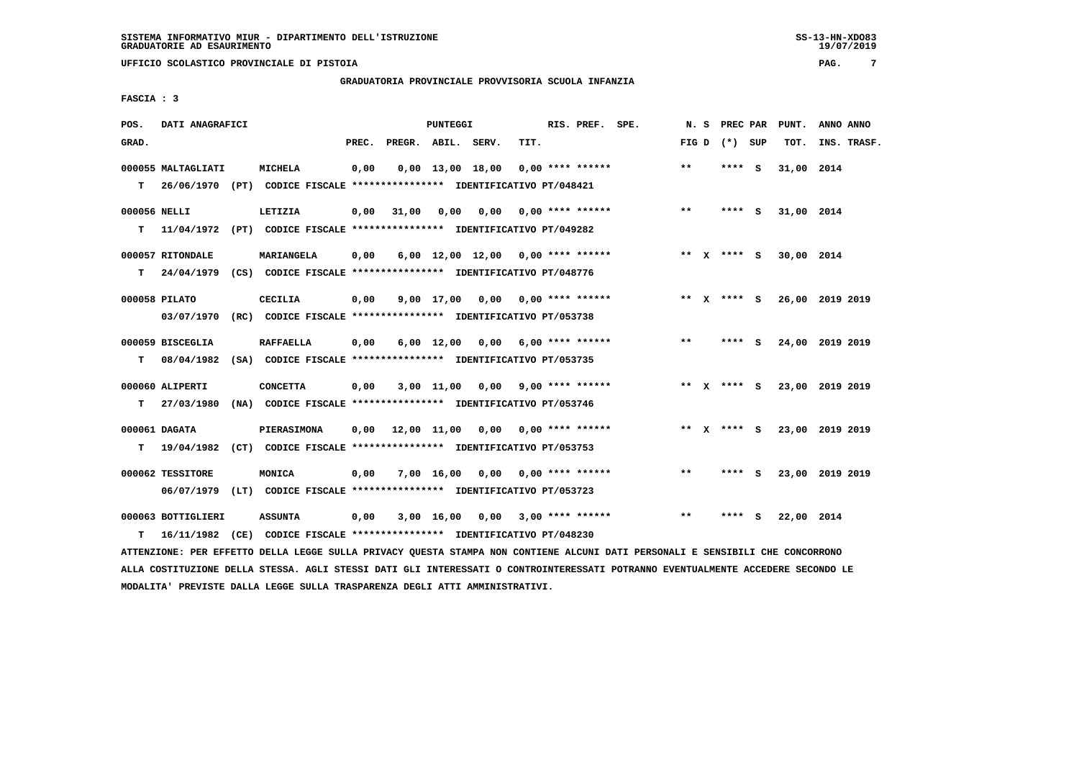### **GRADUATORIA PROVINCIALE PROVVISORIA SCUOLA INFANZIA**

 **FASCIA : 3**

| POS.         | DATI ANAGRAFICI    |                                                                          |       |                    | <b>PUNTEGGI</b> |                    |                                        | RIS. PREF. SPE. | N.S   |                 |     | PREC PAR PUNT. | ANNO ANNO       |
|--------------|--------------------|--------------------------------------------------------------------------|-------|--------------------|-----------------|--------------------|----------------------------------------|-----------------|-------|-----------------|-----|----------------|-----------------|
| GRAD.        |                    |                                                                          | PREC. | PREGR. ABIL. SERV. |                 |                    | TIT.                                   |                 |       | FIG D $(*)$ SUP |     | TOT.           | INS. TRASF.     |
|              | 000055 MALTAGLIATI | <b>MICHELA</b>                                                           | 0,00  |                    |                 | $0,00$ 13,00 18,00 | 0,00 **** ******                       |                 | $***$ | ****            | - S | 31,00 2014     |                 |
| т            |                    | 26/06/1970 (PT) CODICE FISCALE **************** IDENTIFICATIVO PT/048421 |       |                    |                 |                    |                                        |                 |       |                 |     |                |                 |
| 000056 NELLI |                    | LETIZIA                                                                  | 0,00  | 31,00              |                 |                    | $0,00$ $0,00$ $0,00$ $***$ **** ****** |                 | $***$ | **** S          |     | 31,00 2014     |                 |
| т            |                    | 11/04/1972 (PT) CODICE FISCALE *************** IDENTIFICATIVO PT/049282  |       |                    |                 |                    |                                        |                 |       |                 |     |                |                 |
|              | 000057 RITONDALE   | MARIANGELA                                                               | 0,00  |                    |                 |                    | $6,00$ 12,00 12,00 0,00 **** ******    |                 |       | ** x **** S     |     | 30,00 2014     |                 |
| т            | 24/04/1979         | (CS) CODICE FISCALE **************** IDENTIFICATIVO PT/048776            |       |                    |                 |                    |                                        |                 |       |                 |     |                |                 |
|              | 000058 PILATO      | CECILIA                                                                  | 0,00  |                    |                 |                    | $9.00$ 17,00 0.00 0.00 **** ******     |                 |       | ** x **** s     |     |                | 26,00 2019 2019 |
|              | 03/07/1970         | (RC) CODICE FISCALE **************** IDENTIFICATIVO PT/053738            |       |                    |                 |                    |                                        |                 |       |                 |     |                |                 |
|              | 000059 BISCEGLIA   | <b>RAFFAELLA</b>                                                         | 0,00  |                    |                 |                    | $6,00$ 12,00 0,00 6,00 **** ******     |                 | $***$ | **** S          |     |                | 24,00 2019 2019 |
| т            | 08/04/1982         | (SA) CODICE FISCALE **************** IDENTIFICATIVO PT/053735            |       |                    |                 |                    |                                        |                 |       |                 |     |                |                 |
|              | 000060 ALIPERTI    | <b>CONCETTA</b>                                                          | 0,00  |                    |                 |                    | $3,00$ 11,00 0,00 9,00 **** ******     |                 |       | ** x **** s     |     |                | 23,00 2019 2019 |
| T.           | 27/03/1980         | (NA) CODICE FISCALE **************** IDENTIFICATIVO PT/053746            |       |                    |                 |                    |                                        |                 |       |                 |     |                |                 |
|              | 000061 DAGATA      | <b>PIERASIMONA</b>                                                       | 0,00  |                    |                 |                    | 12,00 11,00 0,00 0,00 **** ******      |                 |       | ** x **** S     |     |                | 23,00 2019 2019 |
| т            | 19/04/1982         | (CT) CODICE FISCALE **************** IDENTIFICATIVO PT/053753            |       |                    |                 |                    |                                        |                 |       |                 |     |                |                 |
|              | 000062 TESSITORE   | MONICA                                                                   | 0,00  |                    |                 |                    | $7,00$ 16,00 0,00 0,00 **** ******     |                 | $***$ | **** S          |     |                | 23,00 2019 2019 |
|              |                    | 06/07/1979 (LT) CODICE FISCALE *************** IDENTIFICATIVO PT/053723  |       |                    |                 |                    |                                        |                 |       |                 |     |                |                 |
|              | 000063 BOTTIGLIERI | <b>ASSUNTA</b>                                                           | 0,00  |                    |                 |                    | $3,00$ 16,00 0,00 3,00 **** ******     |                 | $* *$ | **** S          |     | 22,00 2014     |                 |
| т            | 16/11/1982         | (CE) CODICE FISCALE **************** IDENTIFICATIVO PT/048230            |       |                    |                 |                    |                                        |                 |       |                 |     |                |                 |

 **ATTENZIONE: PER EFFETTO DELLA LEGGE SULLA PRIVACY QUESTA STAMPA NON CONTIENE ALCUNI DATI PERSONALI E SENSIBILI CHE CONCORRONO ALLA COSTITUZIONE DELLA STESSA. AGLI STESSI DATI GLI INTERESSATI O CONTROINTERESSATI POTRANNO EVENTUALMENTE ACCEDERE SECONDO LE MODALITA' PREVISTE DALLA LEGGE SULLA TRASPARENZA DEGLI ATTI AMMINISTRATIVI.**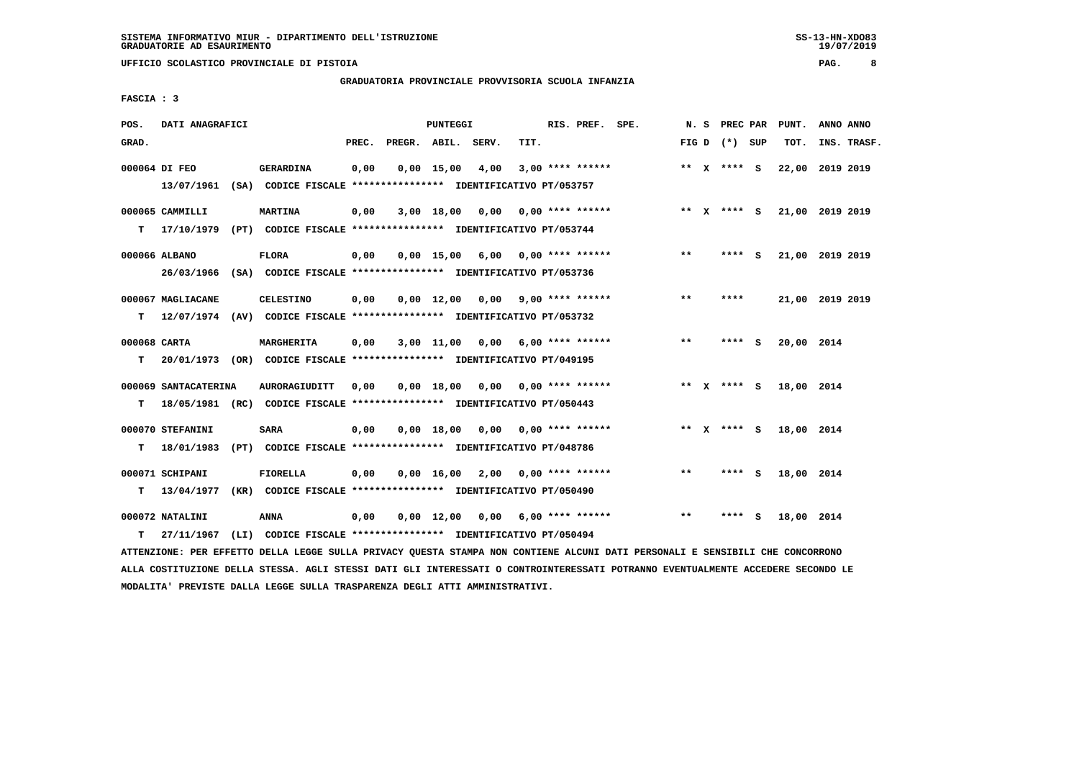**UFFICIO SCOLASTICO PROVINCIALE DI PISTOIA PAG. 8**

### **GRADUATORIA PROVINCIALE PROVVISORIA SCUOLA INFANZIA**

 **FASCIA : 3**

| POS.         | DATI ANAGRAFICI      |                                                                          |       |                    | PUNTEGGI           |                                    |      | RIS. PREF. SPE.         | N.S   | <b>PREC PAR</b> | PUNT.           | ANNO ANNO |             |
|--------------|----------------------|--------------------------------------------------------------------------|-------|--------------------|--------------------|------------------------------------|------|-------------------------|-------|-----------------|-----------------|-----------|-------------|
| GRAD.        |                      |                                                                          | PREC. | PREGR. ABIL. SERV. |                    |                                    | TIT. |                         |       | FIG D $(*)$ SUP | TOT.            |           | INS. TRASF. |
|              | 000064 DI FEO        | <b>GERARDINA</b>                                                         | 0,00  |                    | $0,00$ 15,00       | 4,00                               |      | $3,00$ **** ******      |       | ** x **** S     | 22,00           | 2019 2019 |             |
|              |                      | 13/07/1961 (SA) CODICE FISCALE *************** IDENTIFICATIVO PT/053757  |       |                    |                    |                                    |      |                         |       |                 |                 |           |             |
|              | 000065 CAMMILLI      | <b>MARTINA</b>                                                           | 0,00  |                    |                    | 3,00 18,00 0,00                    |      | $0.00$ **** ******      |       | ** x **** S     | 21,00 2019 2019 |           |             |
| т            | 17/10/1979           | (PT) CODICE FISCALE **************** IDENTIFICATIVO PT/053744            |       |                    |                    |                                    |      |                         |       |                 |                 |           |             |
|              | 000066 ALBANO        | <b>FLORA</b>                                                             | 0,00  |                    |                    | $0,00$ 15,00 6,00 0,00 **** ****** |      |                         | $***$ | **** S          | 21,00 2019 2019 |           |             |
|              |                      | 26/03/1966 (SA) CODICE FISCALE *************** IDENTIFICATIVO PT/053736  |       |                    |                    |                                    |      |                         |       |                 |                 |           |             |
|              | 000067 MAGLIACANE    | <b>CELESTINO</b>                                                         | 0,00  |                    | $0.00 \quad 12.00$ |                                    |      | $0.00$ 9.00 **** ****** | $* *$ | ****            | 21,00 2019 2019 |           |             |
| т            |                      | 12/07/1974 (AV) CODICE FISCALE **************** IDENTIFICATIVO PT/053732 |       |                    |                    |                                    |      |                         |       |                 |                 |           |             |
| 000068 CARTA |                      | MARGHERITA                                                               | 0,00  |                    |                    | 3,00 11,00 0,00 6,00 **** ******   |      |                         | **    | **** $S$        | 20,00 2014      |           |             |
| т            |                      | 20/01/1973 (OR) CODICE FISCALE **************** IDENTIFICATIVO PT/049195 |       |                    |                    |                                    |      |                         |       |                 |                 |           |             |
|              | 000069 SANTACATERINA | <b>AURORAGIUDITT</b>                                                     | 0.00  |                    |                    | $0,00$ 18,00 0,00 0,00 **** ****** |      |                         |       | ** $X$ **** S   | 18,00 2014      |           |             |
| т            |                      | 18/05/1981 (RC) CODICE FISCALE *************** IDENTIFICATIVO PT/050443  |       |                    |                    |                                    |      |                         |       |                 |                 |           |             |
|              |                      |                                                                          |       |                    |                    |                                    |      |                         |       |                 |                 |           |             |
|              | 000070 STEFANINI     | <b>SARA</b>                                                              | 0,00  |                    |                    | $0,00$ $18,00$ $0,00$              |      | $0.00$ **** ******      |       | ** $X$ **** S   | 18,00 2014      |           |             |
| т            | 18/01/1983           | (PT) CODICE FISCALE **************** IDENTIFICATIVO PT/048786            |       |                    |                    |                                    |      |                         |       |                 |                 |           |             |
|              | 000071 SCHIPANI      | FIORELLA                                                                 | 0,00  |                    |                    | $0,00$ 16,00 2,00 0,00 **** ****** |      |                         | **    | **** S          | 18,00 2014      |           |             |
| т            | 13/04/1977           | (KR) CODICE FISCALE **************** IDENTIFICATIVO PT/050490            |       |                    |                    |                                    |      |                         |       |                 |                 |           |             |
|              | 000072 NATALINI      | <b>ANNA</b>                                                              | 0,00  |                    | 0,00 12,00         | 0,00                               |      | $6,00$ **** ******      | $**$  | **** S          | 18,00 2014      |           |             |
| т            | 27/11/1967           | (LI) CODICE FISCALE **************** IDENTIFICATIVO PT/050494            |       |                    |                    |                                    |      |                         |       |                 |                 |           |             |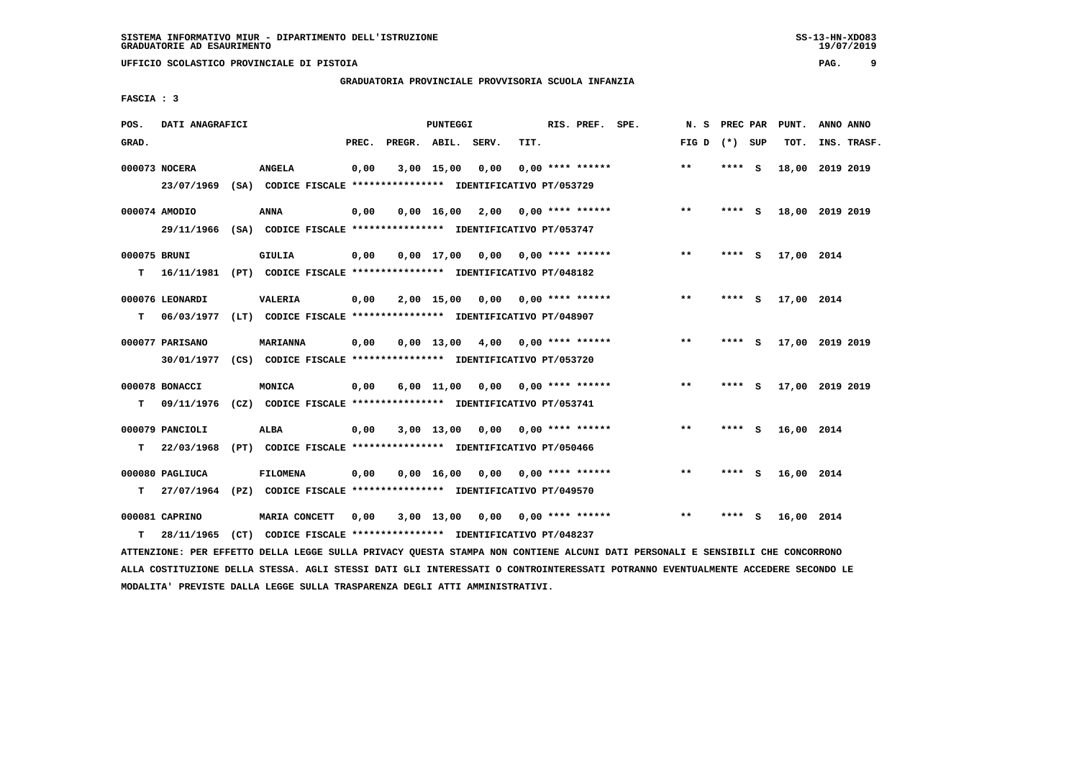**UFFICIO SCOLASTICO PROVINCIALE DI PISTOIA PAG. 9**

### **GRADUATORIA PROVINCIALE PROVVISORIA SCUOLA INFANZIA**

 **FASCIA : 3**

| POS.         | DATI ANAGRAFICI               |                                                                                          |       |                    | PUNTEGGI   |                                    |      | RIS. PREF. SPE.    | N.S   | <b>PREC PAR</b> |     | PUNT.      | ANNO ANNO       |
|--------------|-------------------------------|------------------------------------------------------------------------------------------|-------|--------------------|------------|------------------------------------|------|--------------------|-------|-----------------|-----|------------|-----------------|
| GRAD.        |                               |                                                                                          | PREC. | PREGR. ABIL. SERV. |            |                                    | TIT. |                    | FIG D | (*) SUP         |     | TOT.       | INS. TRASF.     |
|              | 000073 NOCERA                 | <b>ANGELA</b><br>23/07/1969 (SA) CODICE FISCALE *************** IDENTIFICATIVO PT/053729 | 0,00  |                    | 3,00 15,00 | 0,00                               |      | $0.00$ **** ****** | $***$ | **** $S$        |     |            | 18,00 2019 2019 |
|              |                               |                                                                                          |       |                    |            |                                    |      |                    |       |                 |     |            |                 |
|              | 000074 AMODIO                 | <b>ANNA</b>                                                                              | 0,00  |                    |            | $0,00$ 16,00 2,00 0,00 **** ****** |      |                    | $* *$ | **** S          |     |            | 18,00 2019 2019 |
|              |                               | 29/11/1966 (SA) CODICE FISCALE *************** IDENTIFICATIVO PT/053747                  |       |                    |            |                                    |      |                    |       |                 |     |            |                 |
| 000075 BRUNI |                               | <b>GIULIA</b>                                                                            | 0,00  |                    |            | $0.00$ 17.00 0.00 0.00 **** ****** |      |                    | $***$ | **** S          |     | 17,00 2014 |                 |
| т            |                               | 16/11/1981 (PT) CODICE FISCALE **************** IDENTIFICATIVO PT/048182                 |       |                    |            |                                    |      |                    |       |                 |     |            |                 |
|              | 000076 LEONARDI               | <b>VALERIA</b>                                                                           | 0,00  |                    |            | $2,00$ 15,00 0,00 0,00 **** ****** |      |                    | $***$ | **** S          |     | 17,00 2014 |                 |
| т            |                               | 06/03/1977 (LT) CODICE FISCALE **************** IDENTIFICATIVO PT/048907                 |       |                    |            |                                    |      |                    |       |                 |     |            |                 |
|              |                               |                                                                                          |       |                    |            |                                    |      |                    | $* *$ |                 |     |            |                 |
|              | 000077 PARISANO<br>30/01/1977 | <b>MARIANNA</b><br>(CS) CODICE FISCALE *************** IDENTIFICATIVO PT/053720          | 0,00  |                    |            | $0.00$ 13.00 4.00 0.00 **** ****** |      |                    |       | **** S          |     |            | 17,00 2019 2019 |
|              |                               |                                                                                          |       |                    |            |                                    |      |                    |       |                 |     |            |                 |
|              | 000078 BONACCI                | MONICA                                                                                   | 0,00  |                    | 6,00 11,00 | 0,00                               |      | $0.00$ **** ****** | $***$ | **** S          |     |            | 17,00 2019 2019 |
| т            |                               | 09/11/1976 (CZ) CODICE FISCALE *************** IDENTIFICATIVO PT/053741                  |       |                    |            |                                    |      |                    |       |                 |     |            |                 |
|              | 000079 PANCIOLI               | <b>ALBA</b>                                                                              | 0,00  |                    |            | $3,00$ 13,00 0,00 0,00 **** ****** |      |                    | $* *$ | $***$ S         |     | 16,00 2014 |                 |
| т            | 22/03/1968                    | (PT) CODICE FISCALE **************** IDENTIFICATIVO PT/050466                            |       |                    |            |                                    |      |                    |       |                 |     |            |                 |
|              | 000080 PAGLIUCA               | <b>FILOMENA</b>                                                                          | 0,00  |                    | 0.00 16.00 |                                    |      |                    | $* *$ | **** S          |     | 16,00 2014 |                 |
| т            |                               | 27/07/1964 (PZ) CODICE FISCALE **************** IDENTIFICATIVO PT/049570                 |       |                    |            |                                    |      |                    |       |                 |     |            |                 |
|              |                               |                                                                                          |       |                    |            |                                    |      |                    |       |                 |     |            |                 |
|              | 000081 CAPRINO                | MARIA CONCETT                                                                            | 0,00  |                    |            | $3,00$ 13,00 0,00 0,00 **** ****** |      |                    | $* *$ |                 | - S | 16,00 2014 |                 |
| т            | 28/11/1965                    | (CT) CODICE FISCALE **************** IDENTIFICATIVO PT/048237                            |       |                    |            |                                    |      |                    |       |                 |     |            |                 |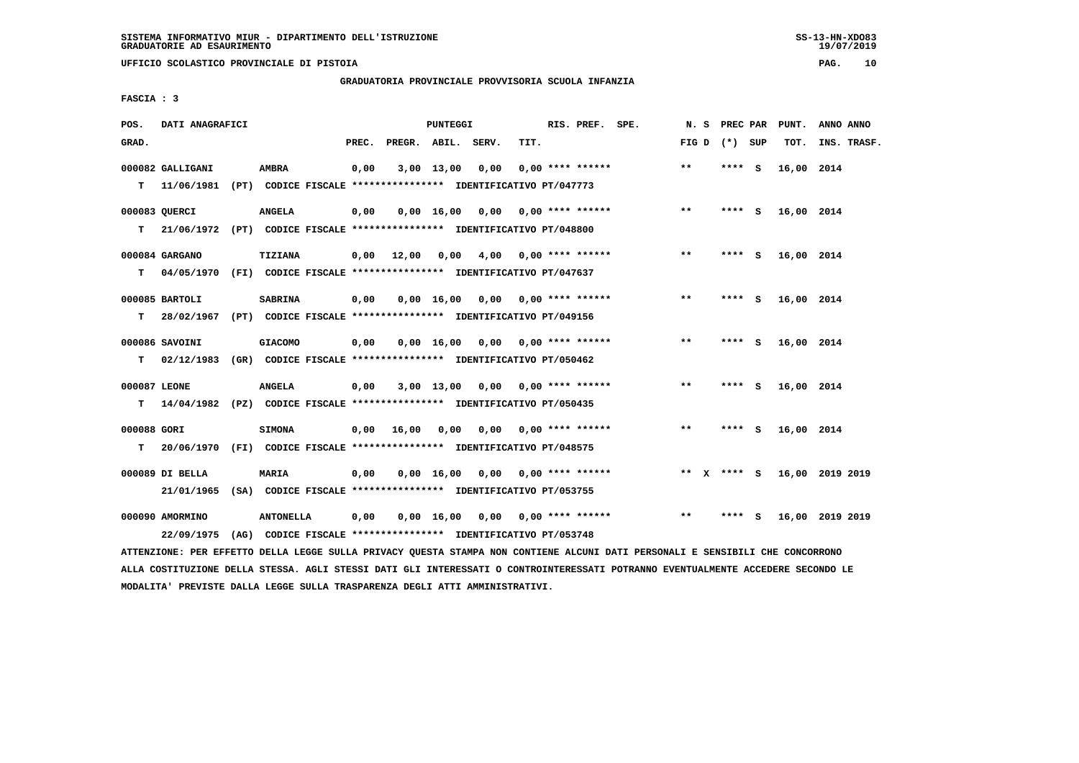### **GRADUATORIA PROVINCIALE PROVVISORIA SCUOLA INFANZIA**

 **FASCIA : 3**

| POS.         | DATI ANAGRAFICI                                                          |                                                               |       |                    | PUNTEGGI     |      |      | RIS. PREF. SPE.                    | N.S                   |        |     | PREC PAR PUNT. | ANNO ANNO       |
|--------------|--------------------------------------------------------------------------|---------------------------------------------------------------|-------|--------------------|--------------|------|------|------------------------------------|-----------------------|--------|-----|----------------|-----------------|
| GRAD.        |                                                                          |                                                               | PREC. | PREGR. ABIL. SERV. |              |      | TIT. |                                    | FIG D $(*)$ SUP       |        |     | TOT.           | INS. TRASF.     |
|              | 000082 GALLIGANI                                                         | <b>AMBRA</b>                                                  | 0,00  |                    | 3,00 13,00   | 0,00 |      | $0.00$ **** ******                 | $* *$                 | ****   | - S | 16,00 2014     |                 |
| т            | 11/06/1981                                                               | (PT) CODICE FISCALE **************** IDENTIFICATIVO PT/047773 |       |                    |              |      |      |                                    |                       |        |     |                |                 |
|              | 000083 QUERCI                                                            | <b>ANGELA</b>                                                 | 0,00  |                    |              |      |      | $0,00$ 16,00 0,00 0,00 **** ****** | $***$                 | **** S |     | 16,00 2014     |                 |
| т            | 21/06/1972 (PT) CODICE FISCALE *************** IDENTIFICATIVO PT/048800  |                                                               |       |                    |              |      |      |                                    |                       |        |     |                |                 |
|              | 000084 GARGANO                                                           | TIZIANA                                                       | 0,00  | 12,00              | 0.00         |      |      | $4,00$ 0,00 **** ******            | $* *$                 | ****   | - S | 16,00 2014     |                 |
| т            | 04/05/1970 (FI) CODICE FISCALE **************** IDENTIFICATIVO PT/047637 |                                                               |       |                    |              |      |      |                                    |                       |        |     |                |                 |
|              | 000085 BARTOLI                                                           | <b>SABRINA</b>                                                | 0,00  |                    | $0,00$ 16,00 |      |      | $0,00$ $0,00$ **** ******          | $* *$                 | **** S |     | 16,00 2014     |                 |
| т            | 28/02/1967                                                               | (PT) CODICE FISCALE *************** IDENTIFICATIVO PT/049156  |       |                    |              |      |      |                                    |                       |        |     |                |                 |
|              | 000086 SAVOINI                                                           | <b>GIACOMO</b>                                                | 0,00  |                    |              |      |      | $0,00$ 16,00 0,00 0,00 **** ****** | $***$                 | **** S |     | 16,00 2014     |                 |
| T.           | 02/12/1983                                                               | (GR) CODICE FISCALE **************** IDENTIFICATIVO PT/050462 |       |                    |              |      |      |                                    |                       |        |     |                |                 |
| 000087 LEONE |                                                                          | <b>ANGELA</b>                                                 | 0,00  |                    |              |      |      | $3,00$ 13,00 0,00 0,00 **** ****** | $**$                  | $***5$ |     | 16,00 2014     |                 |
| т            | 14/04/1982 (PZ) CODICE FISCALE *************** IDENTIFICATIVO PT/050435  |                                                               |       |                    |              |      |      |                                    |                       |        |     |                |                 |
| 000088 GORI  |                                                                          | <b>SIMONA</b>                                                 | 0,00  | 16,00              | 0,00         |      |      | $0,00$ $0,00$ **** ******          | $***$                 | **** S |     | 16,00 2014     |                 |
| T.           | 20/06/1970 (FI) CODICE FISCALE *************** IDENTIFICATIVO PT/048575  |                                                               |       |                    |              |      |      |                                    |                       |        |     |                |                 |
|              | 000089 DI BELLA                                                          | <b>MARIA</b>                                                  | 0,00  |                    | $0,00$ 16,00 |      |      | $0,00$ $0,00$ **** ******          | $***$<br>$\mathbf{x}$ | **** S |     |                | 16,00 2019 2019 |
|              | 21/01/1965                                                               | (SA) CODICE FISCALE **************** IDENTIFICATIVO PT/053755 |       |                    |              |      |      |                                    |                       |        |     |                |                 |
|              | 000090 AMORMINO                                                          | <b>ANTONELLA</b>                                              | 0,00  |                    | 0.00 16.00   |      |      | $0.00$ $0.00$ $***$ **** ******    | **                    | ****   | - S |                | 16,00 2019 2019 |
|              | 22/09/1975                                                               | (AG) CODICE FISCALE **************** IDENTIFICATIVO PT/053748 |       |                    |              |      |      |                                    |                       |        |     |                |                 |

 **ATTENZIONE: PER EFFETTO DELLA LEGGE SULLA PRIVACY QUESTA STAMPA NON CONTIENE ALCUNI DATI PERSONALI E SENSIBILI CHE CONCORRONO ALLA COSTITUZIONE DELLA STESSA. AGLI STESSI DATI GLI INTERESSATI O CONTROINTERESSATI POTRANNO EVENTUALMENTE ACCEDERE SECONDO LE MODALITA' PREVISTE DALLA LEGGE SULLA TRASPARENZA DEGLI ATTI AMMINISTRATIVI.**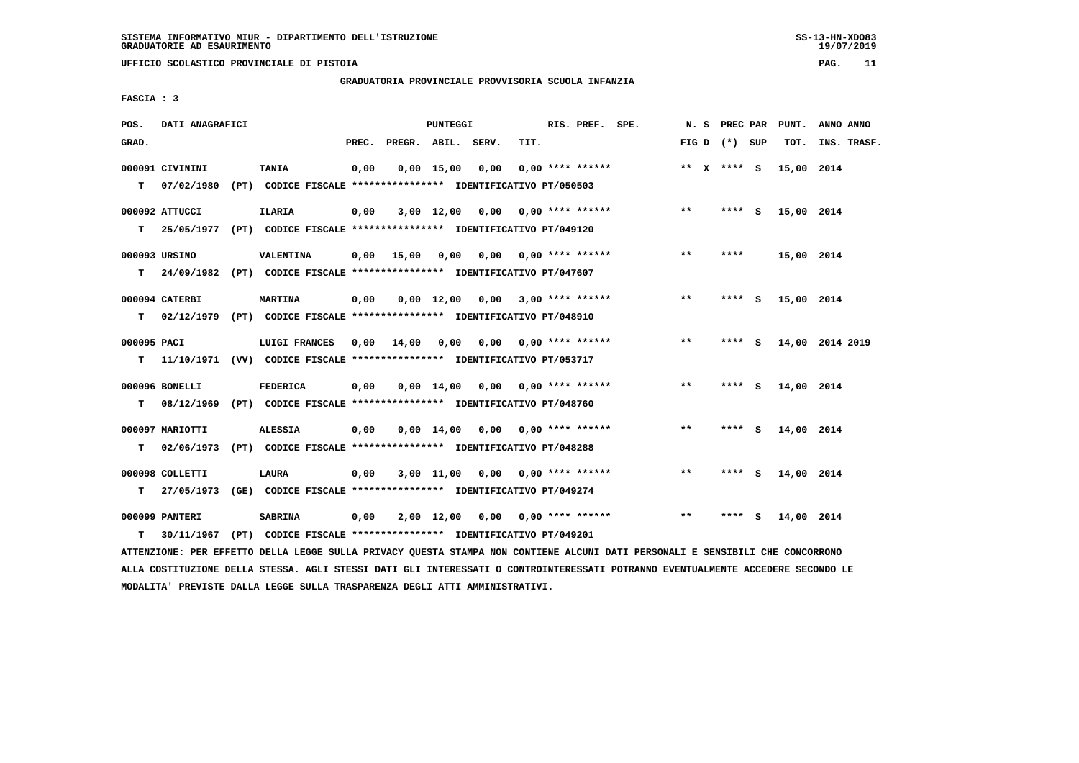### **GRADUATORIA PROVINCIALE PROVVISORIA SCUOLA INFANZIA**

 **FASCIA : 3**

| POS.        | DATI ANAGRAFICI |                                                                          |       |                    | <b>PUNTEGGI</b>   |                                    |                           | RIS. PREF. SPE.    |              | N. S PREC PAR     |     | PUNT.      | ANNO ANNO       |
|-------------|-----------------|--------------------------------------------------------------------------|-------|--------------------|-------------------|------------------------------------|---------------------------|--------------------|--------------|-------------------|-----|------------|-----------------|
| GRAD.       |                 |                                                                          | PREC. | PREGR. ABIL. SERV. |                   |                                    | TIT.                      |                    |              | FIG $D$ $(*)$ SUP |     | TOT.       | INS. TRASF.     |
|             | 000091 CIVININI | <b>TANIA</b>                                                             | 0,00  |                    | $0,00$ 15,00 0,00 |                                    |                           | $0.00$ **** ****** |              | ** x **** S       |     | 15,00 2014 |                 |
| т           | 07/02/1980      | (PT) CODICE FISCALE **************** IDENTIFICATIVO PT/050503            |       |                    |                   |                                    |                           |                    |              |                   |     |            |                 |
|             | 000092 ATTUCCI  | ILARIA                                                                   | 0,00  |                    |                   | $3,00$ 12,00 0,00 0,00 **** ****** |                           |                    | $***$        | **** S            |     | 15,00 2014 |                 |
| т           | 25/05/1977      | (PT) CODICE FISCALE *************** IDENTIFICATIVO PT/049120             |       |                    |                   |                                    |                           |                    |              |                   |     |            |                 |
|             | 000093 URSINO   | VALENTINA                                                                |       | $0,00$ 15,00       | 0,00              |                                    | $0,00$ $0,00$ **** ****** |                    | $***$        | ****              |     | 15,00 2014 |                 |
| т           |                 | 24/09/1982 (PT) CODICE FISCALE *************** IDENTIFICATIVO PT/047607  |       |                    |                   |                                    |                           |                    |              |                   |     |            |                 |
|             | 000094 CATERBI  | <b>MARTINA</b>                                                           | 0,00  |                    |                   | $0,00$ 12,00 0,00 3,00 **** ****** |                           |                    | $* *$        | ****              | - S | 15,00 2014 |                 |
| т           |                 | 02/12/1979 (PT) CODICE FISCALE **************** IDENTIFICATIVO PT/048910 |       |                    |                   |                                    |                           |                    |              |                   |     |            |                 |
| 000095 PACI |                 | LUIGI FRANCES                                                            | 0,00  | 14,00              | 0,00              |                                    | $0,00$ $0,00$ **** ****** |                    | $\star\star$ | **** S            |     |            | 14,00 2014 2019 |
| T.          |                 | 11/10/1971 (VV) CODICE FISCALE **************** IDENTIFICATIVO PT/053717 |       |                    |                   |                                    |                           |                    |              |                   |     |            |                 |
|             | 000096 BONELLI  | <b>FEDERICA</b>                                                          | 0,00  |                    |                   | $0,00$ 14,00 0,00 0,00 **** ****** |                           |                    | $***$        | **** S            |     | 14,00 2014 |                 |
| т           | 08/12/1969      | (PT) CODICE FISCALE **************** IDENTIFICATIVO PT/048760            |       |                    |                   |                                    |                           |                    |              |                   |     |            |                 |
|             | 000097 MARIOTTI | <b>ALESSIA</b>                                                           | 0,00  |                    |                   | $0,00$ 14,00 0,00 0,00 **** ****** |                           |                    | $***$        | **** S            |     | 14,00 2014 |                 |
| т           | 02/06/1973      | (PT) CODICE FISCALE **************** IDENTIFICATIVO PT/048288            |       |                    |                   |                                    |                           |                    |              |                   |     |            |                 |
|             | 000098 COLLETTI | LAURA                                                                    | 0,00  |                    |                   | $3,00$ 11,00 0,00 0,00 **** ****** |                           |                    | $**$         | $***$ S           |     | 14,00 2014 |                 |
| T.          | 27/05/1973      | (GE) CODICE FISCALE **************** IDENTIFICATIVO PT/049274            |       |                    |                   |                                    |                           |                    |              |                   |     |            |                 |
|             | 000099 PANTERI  | <b>SABRINA</b>                                                           | 0,00  |                    |                   | $2,00$ 12,00 0,00 0,00 **** ****** |                           |                    | $***$        | **** S            |     | 14,00 2014 |                 |
| т           | 30/11/1967      | (PT) CODICE FISCALE **************** IDENTIFICATIVO PT/049201            |       |                    |                   |                                    |                           |                    |              |                   |     |            |                 |

 **ATTENZIONE: PER EFFETTO DELLA LEGGE SULLA PRIVACY QUESTA STAMPA NON CONTIENE ALCUNI DATI PERSONALI E SENSIBILI CHE CONCORRONO ALLA COSTITUZIONE DELLA STESSA. AGLI STESSI DATI GLI INTERESSATI O CONTROINTERESSATI POTRANNO EVENTUALMENTE ACCEDERE SECONDO LE MODALITA' PREVISTE DALLA LEGGE SULLA TRASPARENZA DEGLI ATTI AMMINISTRATIVI.**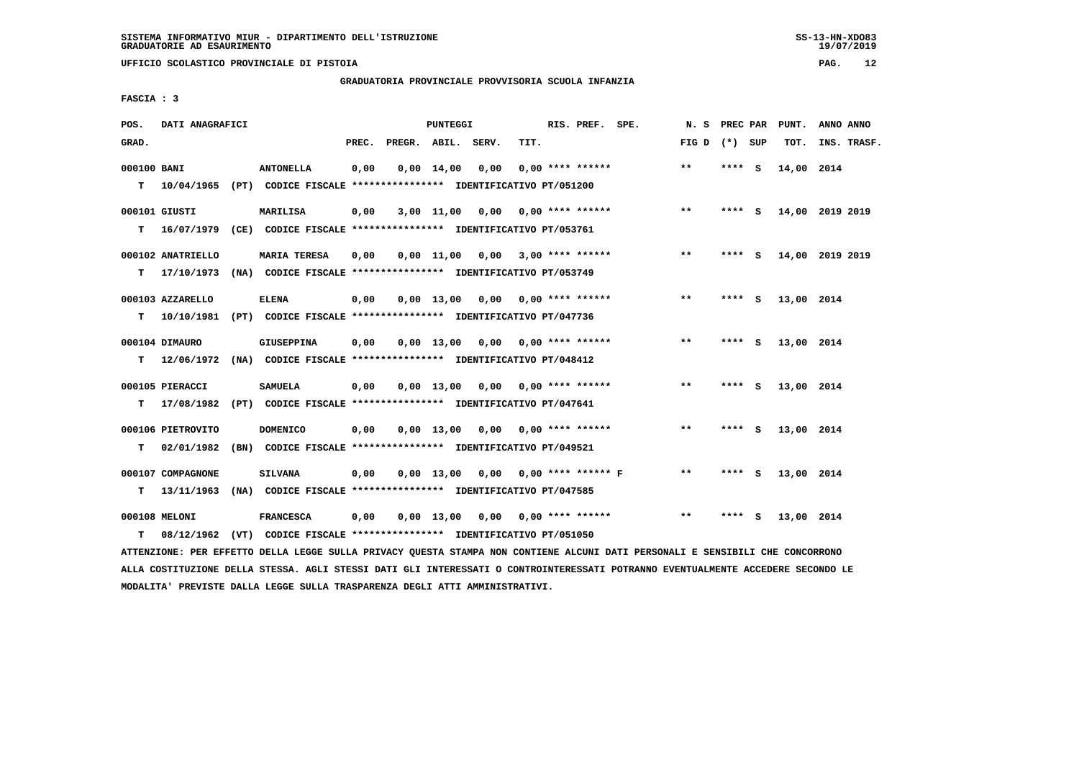**UFFICIO SCOLASTICO PROVINCIALE DI PISTOIA PAG. 12**

#### **GRADUATORIA PROVINCIALE PROVVISORIA SCUOLA INFANZIA**

 **FASCIA : 3**

| POS.        | DATI ANAGRAFICI   |                                                                         |       |                    | PUNTEGGI           |                                    |      | RIS. PREF. SPE.           | PREC PAR<br>N.S |        |     | PUNT.      | ANNO ANNO       |  |
|-------------|-------------------|-------------------------------------------------------------------------|-------|--------------------|--------------------|------------------------------------|------|---------------------------|-----------------|--------|-----|------------|-----------------|--|
| GRAD.       |                   |                                                                         | PREC. | PREGR. ABIL. SERV. |                    |                                    | TIT. |                           | FIG D $(*)$ SUP |        |     | TOT.       | INS. TRASF.     |  |
| 000100 BANI |                   | <b>ANTONELLA</b>                                                        | 0,00  |                    | $0.00 \quad 14.00$ | 0,00                               |      | $0.00$ **** ******        | $* *$           | ****   | - S | 14,00 2014 |                 |  |
| т           | 10/04/1965        | (PT) CODICE FISCALE **************** IDENTIFICATIVO PT/051200           |       |                    |                    |                                    |      |                           |                 |        |     |            |                 |  |
|             | 000101 GIUSTI     | <b>MARILISA</b>                                                         | 0,00  |                    | 3,00 11,00         | 0,00                               |      | 0,00 **** ******          | $***$           | **** S |     |            | 14,00 2019 2019 |  |
| т           | 16/07/1979        | (CE) CODICE FISCALE **************** IDENTIFICATIVO PT/053761           |       |                    |                    |                                    |      |                           |                 |        |     |            |                 |  |
|             | 000102 ANATRIELLO | <b>MARIA TERESA</b>                                                     | 0,00  |                    | 0,00 11,00         |                                    |      | $0,00$ 3,00 **** ******   | **              | **** S |     |            | 14,00 2019 2019 |  |
| T.          | 17/10/1973        | (NA) CODICE FISCALE **************** IDENTIFICATIVO PT/053749           |       |                    |                    |                                    |      |                           |                 |        |     |            |                 |  |
|             | 000103 AZZARELLO  | <b>ELENA</b>                                                            | 0,00  |                    | $0.00$ 13.00       | 0,00                               |      | 0,00 **** ******          | **              | **** S |     | 13,00 2014 |                 |  |
| т           | 10/10/1981        | (PT) CODICE FISCALE **************** IDENTIFICATIVO PT/047736           |       |                    |                    |                                    |      |                           |                 |        |     |            |                 |  |
|             | 000104 DIMAURO    | GIUSEPPINA                                                              | 0,00  |                    | $0.00$ 13.00       | 0,00                               |      | 0,00 **** ******          | **              | ****   | - S | 13,00 2014 |                 |  |
| т           | 12/06/1972        | (NA) CODICE FISCALE **************** IDENTIFICATIVO PT/048412           |       |                    |                    |                                    |      |                           |                 |        |     |            |                 |  |
|             | 000105 PIERACCI   | <b>SAMUELA</b>                                                          | 0,00  |                    |                    | $0,00$ 13,00 0,00 0,00 **** ****** |      |                           | $***$           | **** S |     | 13,00 2014 |                 |  |
| т           | 17/08/1982        | (PT) CODICE FISCALE **************** IDENTIFICATIVO PT/047641           |       |                    |                    |                                    |      |                           |                 |        |     |            |                 |  |
|             | 000106 PIETROVITO | <b>DOMENICO</b>                                                         | 0,00  |                    | $0.00$ 13.00       |                                    |      | $0,00$ $0,00$ **** ****** | $***$           | **** S |     | 13,00 2014 |                 |  |
| т           | 02/01/1982        | (BN) CODICE FISCALE **************** IDENTIFICATIVO PT/049521           |       |                    |                    |                                    |      |                           |                 |        |     |            |                 |  |
|             | 000107 COMPAGNONE | <b>SILVANA</b>                                                          | 0,00  |                    | $0.00$ 13,00       |                                    |      | $0,00$ 0,00 **** ****** F | $* *$           | ****   | - S | 13,00 2014 |                 |  |
| т           | 13/11/1963        | (NA) CODICE FISCALE **************** IDENTIFICATIVO PT/047585           |       |                    |                    |                                    |      |                           |                 |        |     |            |                 |  |
|             | 000108 MELONI     | <b>FRANCESCA</b>                                                        | 0,00  |                    | $0,00 \quad 13,00$ | 0,00                               |      | 0,00 **** ******          | $* *$           | ****   | s   | 13,00 2014 |                 |  |
| т           |                   | 08/12/1962 (VT) CODICE FISCALE *************** IDENTIFICATIVO PT/051050 |       |                    |                    |                                    |      |                           |                 |        |     |            |                 |  |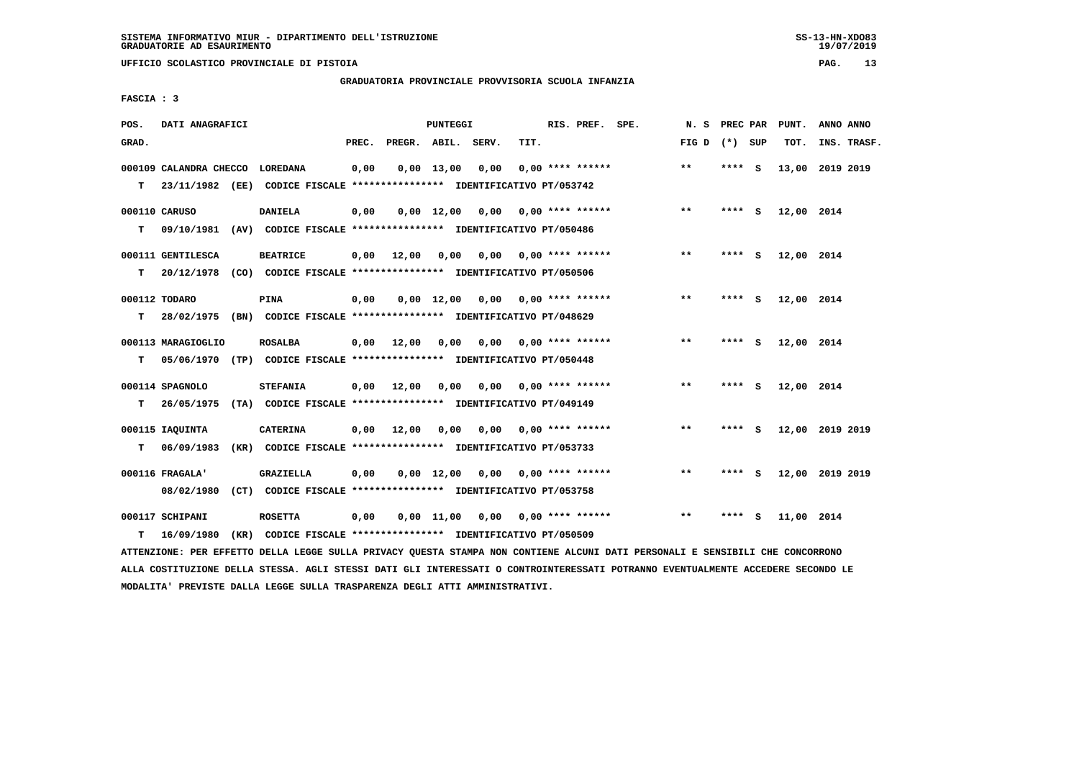**UFFICIO SCOLASTICO PROVINCIALE DI PISTOIA PAG. 13**

### **GRADUATORIA PROVINCIALE PROVVISORIA SCUOLA INFANZIA**

| POS.  | DATI ANAGRAFICI                 |  |                                                                          |       |              | PUNTEGGI           |       |      | RIS. PREF. SPE. |                           | N.S             | PREC PAR |     | PUNT.           | ANNO ANNO   |  |
|-------|---------------------------------|--|--------------------------------------------------------------------------|-------|--------------|--------------------|-------|------|-----------------|---------------------------|-----------------|----------|-----|-----------------|-------------|--|
| GRAD. |                                 |  |                                                                          | PREC. | PREGR. ABIL. |                    | SERV. | TIT. |                 |                           | FIG D $(*)$ SUP |          |     | TOT.            | INS. TRASF. |  |
|       | 000109 CALANDRA CHECCO LOREDANA |  |                                                                          | 0,00  |              | $0,00$ 13,00       | 0,00  |      |                 | $0.00$ **** ******        | $***$           | **** S   |     | 13,00           | 2019 2019   |  |
| т     |                                 |  | 23/11/1982 (EE) CODICE FISCALE **************** IDENTIFICATIVO PT/053742 |       |              |                    |       |      |                 |                           |                 |          |     |                 |             |  |
|       | 000110 CARUSO                   |  | DANIELA                                                                  | 0,00  |              | $0.00$ 12.00       | 0.00  |      |                 | 0,00 **** ******          | $***$           | **** S   |     | 12,00 2014      |             |  |
| т     |                                 |  | 09/10/1981 (AV) CODICE FISCALE *************** IDENTIFICATIVO PT/050486  |       |              |                    |       |      |                 |                           |                 |          |     |                 |             |  |
|       | 000111 GENTILESCA               |  | <b>BEATRICE</b>                                                          | 0,00  | 12,00        | 0,00               |       |      |                 | $0,00$ 0,00 **** ******   | $***$           | **** S   |     | 12,00 2014      |             |  |
| т     |                                 |  | 20/12/1978 (CO) CODICE FISCALE *************** IDENTIFICATIVO PT/050506  |       |              |                    |       |      |                 |                           |                 |          |     |                 |             |  |
|       | 000112 TODARO                   |  | PINA                                                                     | 0,00  |              | $0.00 \quad 12.00$ | 0,00  |      |                 | $0.00$ **** ******        | $***$           | **** S   |     | 12,00 2014      |             |  |
| т     |                                 |  | 28/02/1975 (BN) CODICE FISCALE *************** IDENTIFICATIVO PT/048629  |       |              |                    |       |      |                 |                           |                 |          |     |                 |             |  |
|       | 000113 MARAGIOGLIO              |  | ROSALBA                                                                  | 0,00  | 12,00        | 0,00               |       |      |                 | $0.00$ $0.00$ **** ****** | $**$            | **** S   |     | 12,00 2014      |             |  |
| т     |                                 |  | 05/06/1970 (TP) CODICE FISCALE *************** IDENTIFICATIVO PT/050448  |       |              |                    |       |      |                 |                           |                 |          |     |                 |             |  |
|       | 000114 SPAGNOLO                 |  | <b>STEFANIA</b>                                                          | 0,00  | 12,00        | 0,00               | 0,00  |      |                 | 0,00 **** ******          | $**$            | ****     | - S | 12,00 2014      |             |  |
| т     |                                 |  | 26/05/1975 (TA) CODICE FISCALE **************** IDENTIFICATIVO PT/049149 |       |              |                    |       |      |                 |                           |                 |          |     |                 |             |  |
|       | 000115 IAQUINTA                 |  | <b>CATERINA</b>                                                          | 0,00  | 12,00        | 0,00               | 0,00  |      |                 | 0,00 **** ******          | $***$           | **** S   |     | 12,00 2019 2019 |             |  |
| т     | 06/09/1983                      |  | (KR) CODICE FISCALE **************** IDENTIFICATIVO PT/053733            |       |              |                    |       |      |                 |                           |                 |          |     |                 |             |  |
|       | 000116 FRAGALA'                 |  | <b>GRAZIELLA</b>                                                         | 0,00  |              | $0,00 \quad 12,00$ | 0,00  |      |                 | $0.00$ **** ******        | **              | **** S   |     | 12,00 2019 2019 |             |  |
|       | 08/02/1980                      |  | (CT) CODICE FISCALE **************** IDENTIFICATIVO PT/053758            |       |              |                    |       |      |                 |                           |                 |          |     |                 |             |  |
|       | 000117 SCHIPANI                 |  | <b>ROSETTA</b>                                                           | 0,00  |              | $0,00 \quad 11,00$ | 0,00  |      |                 | $0.00$ **** ******        | **              | **** S   |     | 11,00 2014      |             |  |
| т     | 16/09/1980                      |  | (KR) CODICE FISCALE **************** IDENTIFICATIVO PT/050509            |       |              |                    |       |      |                 |                           |                 |          |     |                 |             |  |

 **ATTENZIONE: PER EFFETTO DELLA LEGGE SULLA PRIVACY QUESTA STAMPA NON CONTIENE ALCUNI DATI PERSONALI E SENSIBILI CHE CONCORRONO ALLA COSTITUZIONE DELLA STESSA. AGLI STESSI DATI GLI INTERESSATI O CONTROINTERESSATI POTRANNO EVENTUALMENTE ACCEDERE SECONDO LE MODALITA' PREVISTE DALLA LEGGE SULLA TRASPARENZA DEGLI ATTI AMMINISTRATIVI.**

# **FASCIA : 3**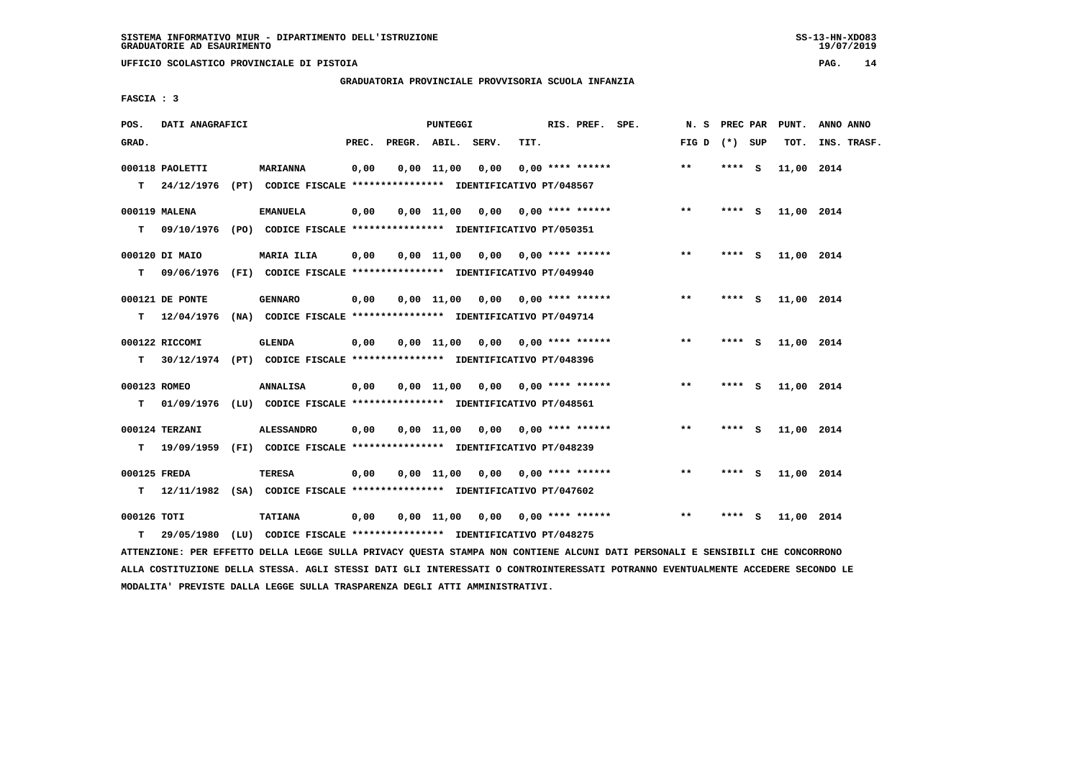**UFFICIO SCOLASTICO PROVINCIALE DI PISTOIA PAG. 14**

### **GRADUATORIA PROVINCIALE PROVVISORIA SCUOLA INFANZIA**

 **FASCIA : 3**

| POS.         | DATI ANAGRAFICI  |                                                                            |       | PUNTEGGI       |                                    |      | RIS. PREF. SPE.    | N. S PREC PAR   |         |     | PUNT.      | ANNO ANNO   |
|--------------|------------------|----------------------------------------------------------------------------|-------|----------------|------------------------------------|------|--------------------|-----------------|---------|-----|------------|-------------|
| GRAD.        |                  |                                                                            | PREC. |                | PREGR. ABIL. SERV.                 | TIT. |                    | FIG D $(*)$ SUP |         |     | TOT.       | INS. TRASF. |
|              | 000118 PAOLETTI  | <b>MARIANNA</b>                                                            | 0,00  | $0.00$ $11.00$ | 0.00                               |      | $0.00$ **** ****** | $***$           | **** S  |     | 11,00 2014 |             |
|              | $T = 24/12/1976$ | (PT) CODICE FISCALE **************** IDENTIFICATIVO PT/048567              |       |                |                                    |      |                    |                 |         |     |            |             |
|              | 000119 MALENA    | <b>EMANUELA</b>                                                            | 0,00  |                | $0,00$ 11,00 0,00 0,00 **** ****** |      |                    | $***$           | $***$ S |     | 11,00 2014 |             |
| T.           |                  | 09/10/1976 (PO) CODICE FISCALE *************** IDENTIFICATIVO PT/050351    |       |                |                                    |      |                    |                 |         |     |            |             |
|              | 000120 DI MAIO   | MARIA ILIA                                                                 | 0,00  |                | $0,00$ 11,00 0,00 0,00 **** ****** |      |                    | $***$           | **** S  |     | 11,00 2014 |             |
| T.           |                  | 09/06/1976 (FI) CODICE FISCALE *************** IDENTIFICATIVO PT/049940    |       |                |                                    |      |                    |                 |         |     |            |             |
|              | 000121 DE PONTE  | <b>GENNARO</b>                                                             | 0,00  |                | $0,00$ 11,00 0,00 0,00 **** ****** |      |                    | **              | **** S  |     | 11,00 2014 |             |
| т            | 12/04/1976       | (NA) CODICE FISCALE *************** IDENTIFICATIVO PT/049714               |       |                |                                    |      |                    |                 |         |     |            |             |
|              | 000122 RICCOMI   | GLENDA                                                                     | 0,00  |                | $0.00$ 11.00 0.00 0.00 **** ****** |      |                    | **              | **** S  |     | 11,00 2014 |             |
| т            |                  | 30/12/1974 (PT) CODICE FISCALE **************** IDENTIFICATIVO PT/048396   |       |                |                                    |      |                    |                 |         |     |            |             |
| 000123 ROMEO |                  | <b>ANNALISA</b>                                                            | 0,00  |                | $0,00$ 11,00 0,00 0,00 **** ****** |      |                    | **              | **** S  |     | 11,00 2014 |             |
| т            |                  | 01/09/1976 (LU) CODICE FISCALE *************** IDENTIFICATIVO PT/048561    |       |                |                                    |      |                    |                 |         |     |            |             |
|              | 000124 TERZANI   | <b>ALESSANDRO</b>                                                          | 0,00  |                | $0,00$ 11,00 0,00 0,00 **** ****** |      |                    | $***$           | **** S  |     | 11,00 2014 |             |
|              |                  | T 19/09/1959 (FI) CODICE FISCALE *************** IDENTIFICATIVO PT/048239  |       |                |                                    |      |                    |                 |         |     |            |             |
| 000125 FREDA |                  | <b>TERESA</b>                                                              | 0,00  |                | $0,00$ 11,00 0,00 0,00 **** ****** |      |                    | **              | **** S  |     | 11,00 2014 |             |
|              |                  | T 12/11/1982 (SA) CODICE FISCALE **************** IDENTIFICATIVO PT/047602 |       |                |                                    |      |                    |                 |         |     |            |             |
| 000126 TOTI  |                  | <b>TATIANA</b>                                                             | 0,00  |                | 0,00 11,00 0,00 0,00 **** ******   |      |                    | **              | ****    | - 5 | 11,00 2014 |             |
| т            | 29/05/1980       | (LU) CODICE FISCALE **************** IDENTIFICATIVO PT/048275              |       |                |                                    |      |                    |                 |         |     |            |             |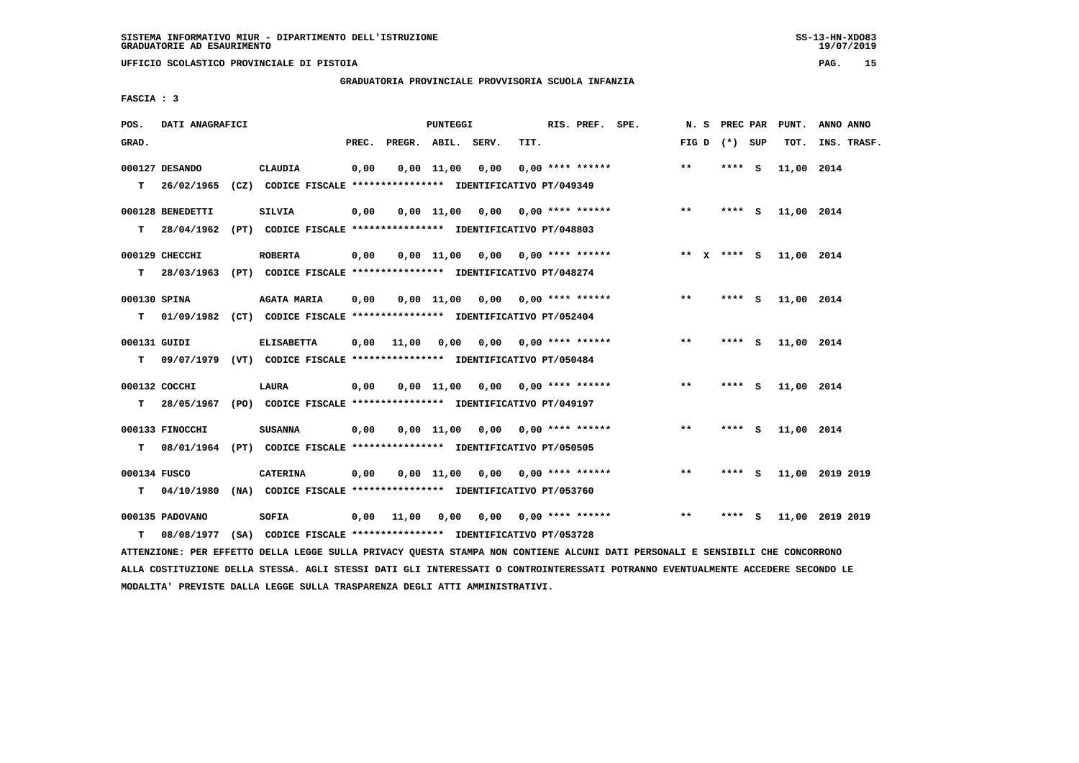**UFFICIO SCOLASTICO PROVINCIALE DI PISTOIA PAG. 15**

## **GRADUATORIA PROVINCIALE PROVVISORIA SCUOLA INFANZIA**

 **FASCIA : 3**

| POS.         | DATI ANAGRAFICI  |                                                                                                                               | PUNTEGGI |                          |  |                                         |      | RIS. PREF. SPE. |                  |  |              |  | N. S PREC PAR PUNT. |  |            | ANNO ANNO       |
|--------------|------------------|-------------------------------------------------------------------------------------------------------------------------------|----------|--------------------------|--|-----------------------------------------|------|-----------------|------------------|--|--------------|--|---------------------|--|------------|-----------------|
| GRAD.        |                  |                                                                                                                               |          | PREC. PREGR. ABIL. SERV. |  |                                         | TIT. |                 |                  |  |              |  | FIG $D$ $(*)$ SUP   |  | тот.       | INS. TRASF.     |
|              | 000127 DESANDO   | CLAUDIA                                                                                                                       | 0,00     |                          |  | $0,00$ $11,00$ $0,00$                   |      |                 | 0,00 **** ****** |  | $* *$        |  | $***$ S             |  | 11,00 2014 |                 |
|              | $T = 26/02/1965$ | (CZ) CODICE FISCALE *************** IDENTIFICATIVO PT/049349                                                                  |          |                          |  |                                         |      |                 |                  |  |              |  |                     |  |            |                 |
|              | 000128 BENEDETTI | <b>SILVIA</b>                                                                                                                 | 0,00     |                          |  | $0,00$ 11,00 0,00 0,00 **** ******      |      |                 |                  |  | $***$        |  | **** S              |  | 11,00 2014 |                 |
|              |                  | T 28/04/1962 (PT) CODICE FISCALE *************** IDENTIFICATIVO PT/048803                                                     |          |                          |  |                                         |      |                 |                  |  |              |  |                     |  |            |                 |
|              | 000129 CHECCHI   | <b>ROBERTA</b>                                                                                                                | 0,00     |                          |  | $0,00$ 11,00 0,00 0,00 **** ******      |      |                 |                  |  |              |  | ** x **** S         |  | 11,00 2014 |                 |
|              |                  | T 28/03/1963 (PT) CODICE FISCALE *************** IDENTIFICATIVO PT/048274                                                     |          |                          |  |                                         |      |                 |                  |  |              |  |                     |  |            |                 |
|              |                  |                                                                                                                               |          |                          |  |                                         |      |                 |                  |  |              |  |                     |  |            |                 |
| 000130 SPINA |                  | <b>AGATA MARIA</b><br>T 01/09/1982 (CT) CODICE FISCALE *************** IDENTIFICATIVO PT/052404                               | 0,00     |                          |  | $0,00$ 11,00 0,00 0,00 **** ******      |      |                 |                  |  | $***$        |  | **** S              |  | 11,00 2014 |                 |
|              |                  |                                                                                                                               |          |                          |  |                                         |      |                 |                  |  |              |  |                     |  |            |                 |
| 000131 GUIDI |                  | <b>ELISABETTA</b>                                                                                                             |          |                          |  | $0,00$ 11,00 0,00 0,00 0,00 **** ****** |      |                 |                  |  | $***$        |  | $***$ S             |  | 11,00 2014 |                 |
|              |                  | T 09/07/1979 (VT) CODICE FISCALE *************** IDENTIFICATIVO PT/050484                                                     |          |                          |  |                                         |      |                 |                  |  |              |  |                     |  |            |                 |
|              | 000132 COCCHI    | LAURA                                                                                                                         | 0,00     |                          |  | $0,00$ 11,00 0,00 0,00 **** ******      |      |                 |                  |  | $\star\star$ |  | **** S              |  | 11,00 2014 |                 |
| T.           |                  | 28/05/1967 (PO) CODICE FISCALE **************** IDENTIFICATIVO PT/049197                                                      |          |                          |  |                                         |      |                 |                  |  |              |  |                     |  |            |                 |
|              | 000133 FINOCCHI  | <b>SUSANNA</b>                                                                                                                | 0,00     |                          |  | $0,00$ 11,00 0,00 0,00 **** ******      |      |                 |                  |  | $***$        |  | **** S              |  | 11,00 2014 |                 |
|              |                  | T 08/01/1964 (PT) CODICE FISCALE *************** IDENTIFICATIVO PT/050505                                                     |          |                          |  |                                         |      |                 |                  |  |              |  |                     |  |            |                 |
|              |                  |                                                                                                                               |          |                          |  |                                         |      |                 |                  |  |              |  |                     |  |            |                 |
| 000134 FUSCO |                  | <b>CATERINA</b>                                                                                                               | 0,00     |                          |  | $0,00$ 11,00 0,00 0,00 **** ******      |      |                 |                  |  | $***$        |  | $***$ S             |  |            | 11,00 2019 2019 |
|              |                  | T 04/10/1980 (NA) CODICE FISCALE *************** IDENTIFICATIVO PT/053760                                                     |          |                          |  |                                         |      |                 |                  |  |              |  |                     |  |            |                 |
|              | 000135 PADOVANO  | <b>SOFIA</b>                                                                                                                  | 0,00     | 11,00                    |  | 0,00 0,00 0,00 **** ******              |      |                 |                  |  | $***$        |  | **** S              |  |            | 11,00 2019 2019 |
| T.           |                  | 08/08/1977 (SA) CODICE FISCALE **************** IDENTIFICATIVO PT/053728                                                      |          |                          |  |                                         |      |                 |                  |  |              |  |                     |  |            |                 |
|              |                  | ATTENZIONE: PER EFFETTO DELLA LEGGE SULLA PRIVACY QUESTA STAMPA NON CONTIENE ALCUNI DATI PERSONALI E SENSIBILI CHE CONCORRONO |          |                          |  |                                         |      |                 |                  |  |              |  |                     |  |            |                 |

 **ALLA COSTITUZIONE DELLA STESSA. AGLI STESSI DATI GLI INTERESSATI O CONTROINTERESSATI POTRANNO EVENTUALMENTE ACCEDERE SECONDO LE MODALITA' PREVISTE DALLA LEGGE SULLA TRASPARENZA DEGLI ATTI AMMINISTRATIVI.**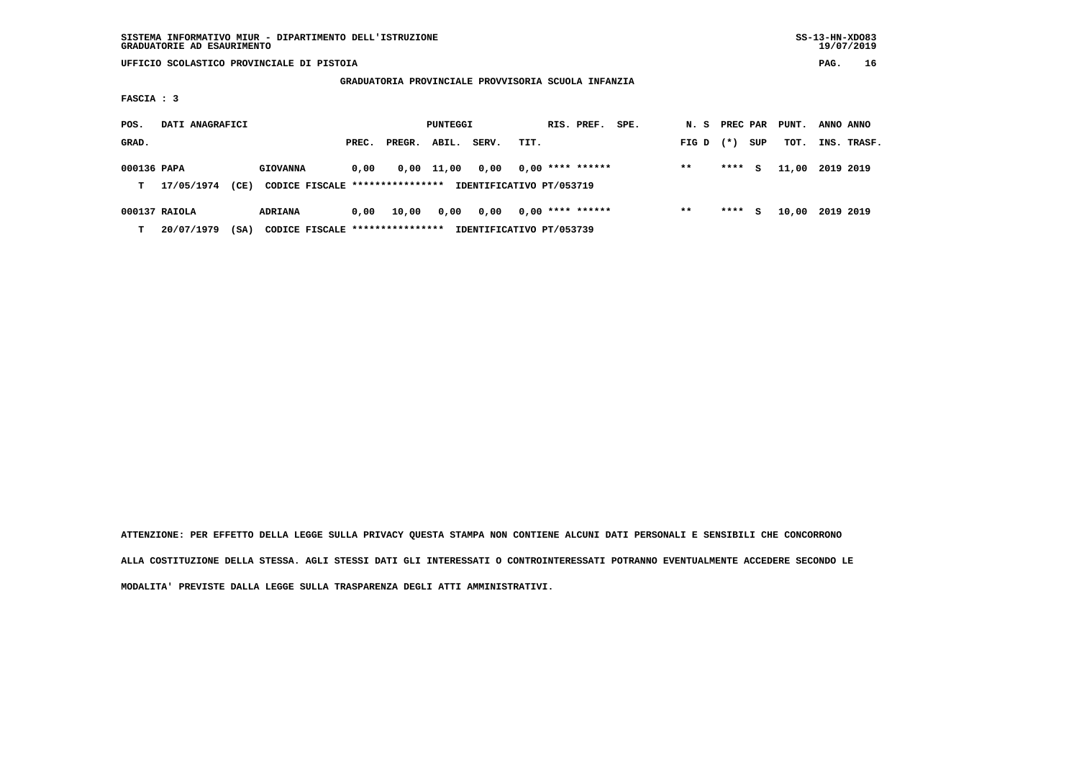| SISTEMA INFORMATIVO MIUR - DIPARTIMENTO DELL'ISTRUZIONE | $SS-13-HN-XDO83$ |
|---------------------------------------------------------|------------------|
| GRADUATORIE AD ESAURIMENTO                              | 19/07/2019       |

 **SISTEMA INFORMATIVO MIUR - DIPARTIMENTO DELL'ISTRUZIONE SS-13-HN-XDO83** $19/07/2019$ 

 **UFFICIO SCOLASTICO PROVINCIALE DI PISTOIA PAG. 16**

#### **GRADUATORIA PROVINCIALE PROVVISORIA SCUOLA INFANZIA**

 **FASCIA : 3**

| POS.             | DATI ANAGRAFICI             |      |                                                    |       |        | PUNTEGGI |       |                                                | RIS. PREF. | SPE. | N. S  | PREC PAR |     | PUNT. | ANNO ANNO |             |
|------------------|-----------------------------|------|----------------------------------------------------|-------|--------|----------|-------|------------------------------------------------|------------|------|-------|----------|-----|-------|-----------|-------------|
| GRAD.            |                             |      |                                                    | PREC. | PREGR. | ABIL.    | SERV. | TIT.                                           |            |      | FIG D | $(* )$   | SUP | тот.  |           | INS. TRASF. |
| 000136 PAPA<br>т | 17/05/1974                  | (CE) | <b>GIOVANNA</b><br>CODICE FISCALE **************** | 0,00  | 0,00   | 11,00    | 0,00  | $0,00$ **** ******<br>IDENTIFICATIVO PT/053719 |            |      | $* *$ | ****     | s   | 11,00 | 2019 2019 |             |
| т                | 000137 RAIOLA<br>20/07/1979 | (SA) | <b>ADRIANA</b><br>CODICE FISCALE ***************** | 0,00  | 10,00  | 0,00     | 0,00  | $0,00$ **** ******<br>IDENTIFICATIVO PT/053739 |            |      | $* *$ | ****     | s   | 10,00 | 2019 2019 |             |